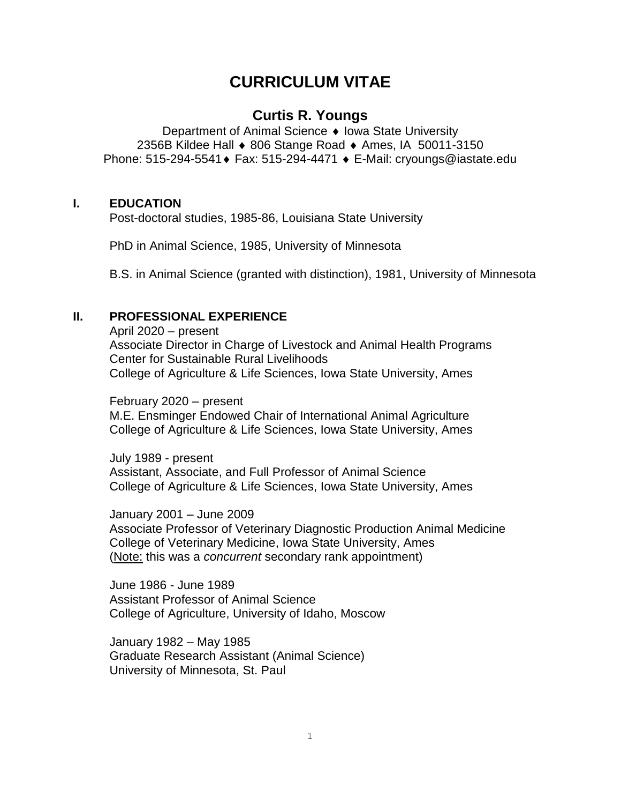# **CURRICULUM VITAE**

## **Curtis R. Youngs**

Department of Animal Science • Iowa State University 2356B Kildee Hall ♦ 806 Stange Road ♦ Ames, IA 50011-3150 Phone: 515-294-5541 ♦ Fax: 515-294-4471 ♦ E-Mail: cryoungs@iastate.edu

## **I. EDUCATION**

Post-doctoral studies, 1985-86, Louisiana State University

PhD in Animal Science, 1985, University of Minnesota

B.S. in Animal Science (granted with distinction), 1981, University of Minnesota

## **II. PROFESSIONAL EXPERIENCE**

April 2020 – present Associate Director in Charge of Livestock and Animal Health Programs Center for Sustainable Rural Livelihoods College of Agriculture & Life Sciences, Iowa State University, Ames

February 2020 – present M.E. Ensminger Endowed Chair of International Animal Agriculture College of Agriculture & Life Sciences, Iowa State University, Ames

July 1989 - present Assistant, Associate, and Full Professor of Animal Science College of Agriculture & Life Sciences, Iowa State University, Ames

January 2001 – June 2009 Associate Professor of Veterinary Diagnostic Production Animal Medicine College of Veterinary Medicine, Iowa State University, Ames (Note: this was a *concurrent* secondary rank appointment)

June 1986 - June 1989 Assistant Professor of Animal Science College of Agriculture, University of Idaho, Moscow

January 1982 – May 1985 Graduate Research Assistant (Animal Science) University of Minnesota, St. Paul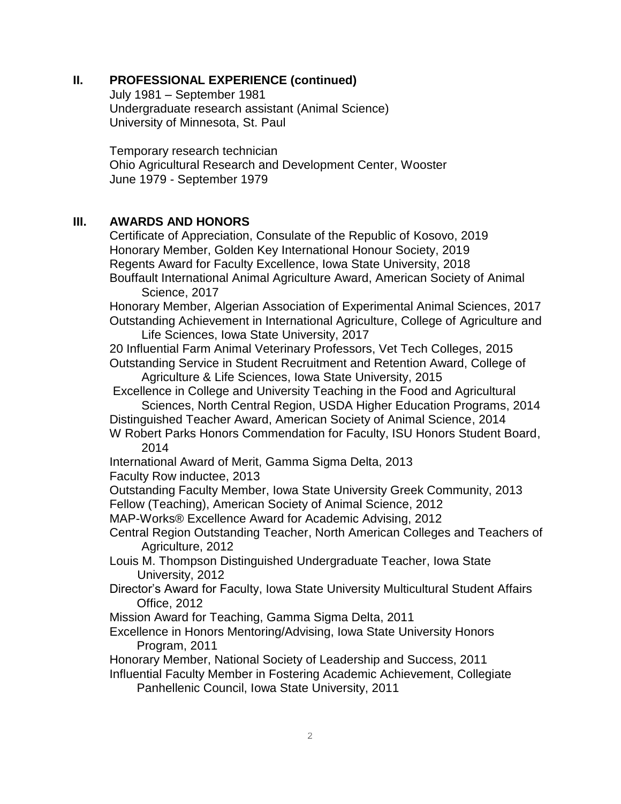## **II. PROFESSIONAL EXPERIENCE (continued)**

July 1981 – September 1981 Undergraduate research assistant (Animal Science) University of Minnesota, St. Paul

Temporary research technician Ohio Agricultural Research and Development Center, Wooster June 1979 - September 1979

## **III. AWARDS AND HONORS**

Certificate of Appreciation, Consulate of the Republic of Kosovo, 2019 Honorary Member, Golden Key International Honour Society, 2019 Regents Award for Faculty Excellence, Iowa State University, 2018 Bouffault International Animal Agriculture Award, American Society of Animal Science, 2017

Honorary Member, Algerian Association of Experimental Animal Sciences, 2017 Outstanding Achievement in International Agriculture, College of Agriculture and Life Sciences, Iowa State University, 2017

20 Influential Farm Animal Veterinary Professors, Vet Tech Colleges, 2015 Outstanding Service in Student Recruitment and Retention Award, College of

Agriculture & Life Sciences, Iowa State University, 2015 Excellence in College and University Teaching in the Food and Agricultural

Sciences, North Central Region, USDA Higher Education Programs, 2014 Distinguished Teacher Award, American Society of Animal Science, 2014

W Robert Parks Honors Commendation for Faculty, ISU Honors Student Board, 2014

International Award of Merit, Gamma Sigma Delta, 2013

Faculty Row inductee, 2013

Outstanding Faculty Member, Iowa State University Greek Community, 2013 Fellow (Teaching), American Society of Animal Science, 2012

MAP-Works® Excellence Award for Academic Advising, 2012

Central Region Outstanding Teacher, North American Colleges and Teachers of Agriculture, 2012

Louis M. Thompson Distinguished Undergraduate Teacher, Iowa State University, 2012

Director's Award for Faculty, Iowa State University Multicultural Student Affairs Office, 2012

Mission Award for Teaching, Gamma Sigma Delta, 2011

Excellence in Honors Mentoring/Advising, Iowa State University Honors Program, 2011

Honorary Member, National Society of Leadership and Success, 2011

Influential Faculty Member in Fostering Academic Achievement, Collegiate Panhellenic Council, Iowa State University, 2011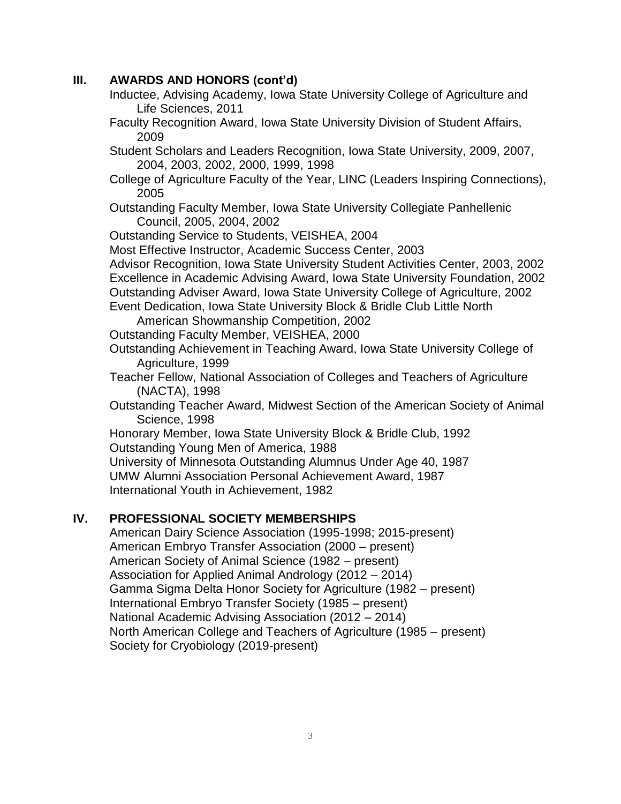## **III. AWARDS AND HONORS (cont'd)**

- Inductee, Advising Academy, Iowa State University College of Agriculture and Life Sciences, 2011
- Faculty Recognition Award, Iowa State University Division of Student Affairs, 2009
- Student Scholars and Leaders Recognition, Iowa State University, 2009, 2007, 2004, 2003, 2002, 2000, 1999, 1998
- College of Agriculture Faculty of the Year, LINC (Leaders Inspiring Connections), 2005
- Outstanding Faculty Member, Iowa State University Collegiate Panhellenic Council, 2005, 2004, 2002
- Outstanding Service to Students, VEISHEA, 2004
- Most Effective Instructor, Academic Success Center, 2003
- Advisor Recognition, Iowa State University Student Activities Center, 2003, 2002 Excellence in Academic Advising Award, Iowa State University Foundation, 2002 Outstanding Adviser Award, Iowa State University College of Agriculture, 2002

Event Dedication, Iowa State University Block & Bridle Club Little North

American Showmanship Competition, 2002

Outstanding Faculty Member, VEISHEA, 2000

Outstanding Achievement in Teaching Award, Iowa State University College of Agriculture, 1999

- Teacher Fellow, National Association of Colleges and Teachers of Agriculture (NACTA), 1998
- Outstanding Teacher Award, Midwest Section of the American Society of Animal Science, 1998

Honorary Member, Iowa State University Block & Bridle Club, 1992 Outstanding Young Men of America, 1988

University of Minnesota Outstanding Alumnus Under Age 40, 1987 UMW Alumni Association Personal Achievement Award, 1987 International Youth in Achievement, 1982

## **IV. PROFESSIONAL SOCIETY MEMBERSHIPS**

American Dairy Science Association (1995-1998; 2015-present) American Embryo Transfer Association (2000 – present) American Society of Animal Science (1982 – present) Association for Applied Animal Andrology (2012 – 2014) Gamma Sigma Delta Honor Society for Agriculture (1982 – present) International Embryo Transfer Society (1985 – present) National Academic Advising Association (2012 – 2014) North American College and Teachers of Agriculture (1985 – present) Society for Cryobiology (2019-present)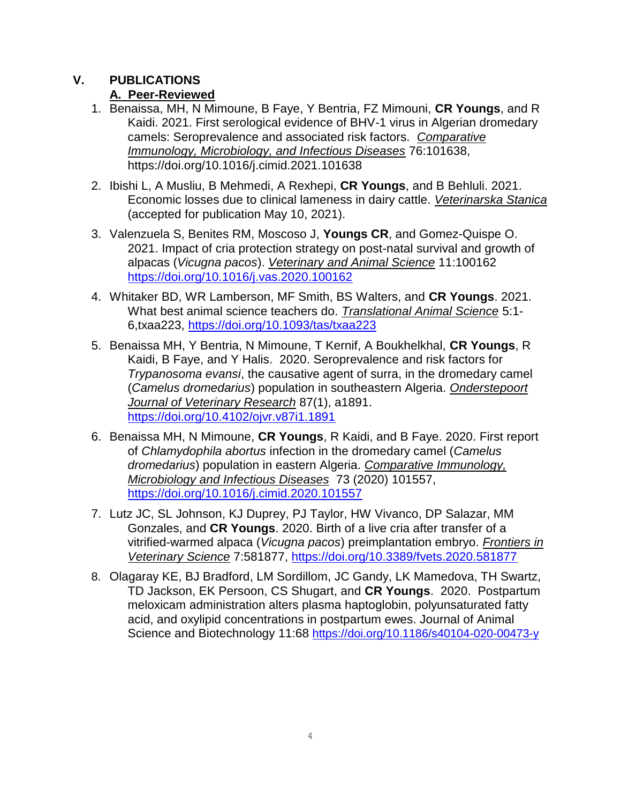## **V. PUBLICATIONS**

## **A. Peer-Reviewed**

- 1. Benaissa, MH, N Mimoune, B Faye, Y Bentria, FZ Mimouni, **CR Youngs**, and R Kaidi. 2021. First serological evidence of BHV-1 virus in Algerian dromedary camels: Seroprevalence and associated risk factors. *Comparative Immunology, Microbiology, and Infectious Diseases* 76:101638, https://doi.org/10.1016/j.cimid.2021.101638
- 2. Ibishi L, A Musliu, B Mehmedi, A Rexhepi, **CR Youngs**, and B Behluli. 2021. Economic losses due to clinical lameness in dairy cattle. *Veterinarska Stanica* (accepted for publication May 10, 2021).
- 3. Valenzuela S, Benites RM, Moscoso J, **Youngs CR**, and Gomez-Quispe O. 2021. Impact of cria protection strategy on post-natal survival and growth of alpacas (*Vicugna pacos*). *Veterinary and Animal Science* 11:100162 <https://doi.org/10.1016/j.vas.2020.100162>
- 4. Whitaker BD, WR Lamberson, MF Smith, BS Walters, and **CR Youngs**. 2021. What best animal science teachers do. *Translational Animal Science* 5:1- 6,txaa223,<https://doi.org/10.1093/tas/txaa223>
- 5. Benaissa MH, Y Bentria, N Mimoune, T Kernif, A Boukhelkhal, **CR Youngs**, R Kaidi, B Faye, and Y Halis. 2020. Seroprevalence and risk factors for *Trypanosoma evansi*, the causative agent of surra, in the dromedary camel (*Camelus dromedarius*) population in southeastern Algeria. *Onderstepoort Journal of Veterinary Research* 87(1), a1891. <https://doi.org/10.4102/ojvr.v87i1.1891>
- 6. Benaissa MH, N Mimoune, **CR Youngs**, R Kaidi, and B Faye. 2020. First report of *Chlamydophila abortus* infection in the dromedary camel (*Camelus dromedarius*) population in eastern Algeria. *Comparative Immunology, Microbiology and Infectious Diseases* 73 (2020) 101557, <https://doi.org/10.1016/j.cimid.2020.101557>
- 7. Lutz JC, SL Johnson, KJ Duprey, PJ Taylor, HW Vivanco, DP Salazar, MM Gonzales, and **CR Youngs**. 2020. Birth of a live cria after transfer of a vitrified-warmed alpaca (*Vicugna pacos*) preimplantation embryo. *Frontiers in Veterinary Science* 7:581877,<https://doi.org/10.3389/fvets.2020.581877>
- 8. Olagaray KE, BJ Bradford, LM Sordillom, JC Gandy, LK Mamedova, TH Swartz, TD Jackson, EK Persoon, CS Shugart, and **CR Youngs**. 2020. Postpartum meloxicam administration alters plasma haptoglobin, polyunsaturated fatty acid, and oxylipid concentrations in postpartum ewes. Journal of Animal Science and Biotechnology 11:68 <https://doi.org/10.1186/s40104-020-00473-y>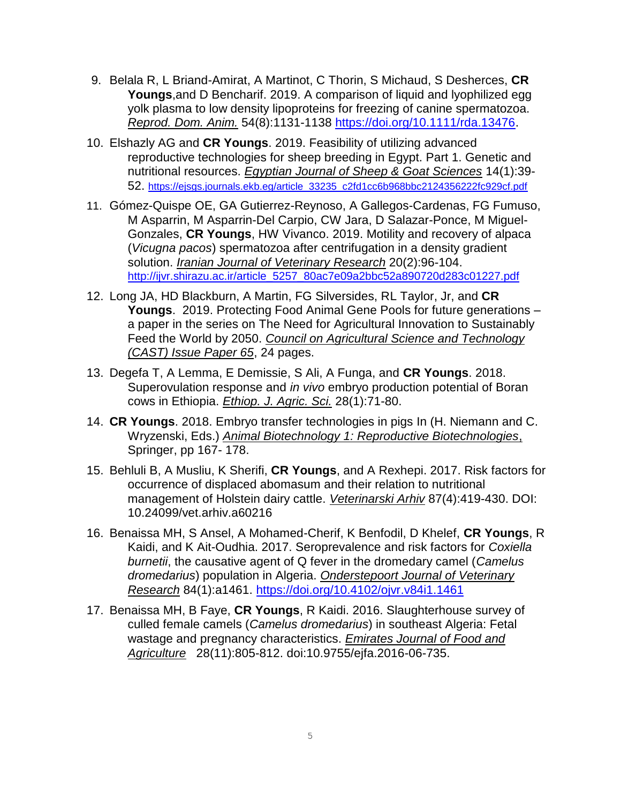- 9. Belala R, L Briand-Amirat, A Martinot, C Thorin, S Michaud, S Desherces, **CR Youngs**,and D Bencharif. 2019. A comparison of liquid and lyophilized egg yolk plasma to low density lipoproteins for freezing of canine spermatozoa. *Reprod. Dom. Anim.* 54(8):1131-1138 [https://doi.org/10.1111/rda.13476.](https://doi.org/10.1111/rda.13476)
- 10. Elshazly AG and **CR Youngs**. 2019. Feasibility of utilizing advanced reproductive technologies for sheep breeding in Egypt. Part 1. Genetic and nutritional resources. *Egyptian Journal of Sheep & Goat Sciences* 14(1):39- 52. [https://ejsgs.journals.ekb.eg/article\\_33235\\_c2fd1cc6b968bbc2124356222fc929cf.pdf](https://ejsgs.journals.ekb.eg/article_33235_c2fd1cc6b968bbc2124356222fc929cf.pdf)
- 11. Gómez-Quispe OE, GA Gutierrez-Reynoso, A Gallegos-Cardenas, FG Fumuso, M Asparrin, M Asparrin-Del Carpio, CW Jara, D Salazar-Ponce, M Miguel-Gonzales, **CR Youngs**, HW Vivanco. 2019. Motility and recovery of alpaca (*Vicugna pacos*) spermatozoa after centrifugation in a density gradient solution. *Iranian Journal of Veterinary Research* 20(2):96-104. [http://ijvr.shirazu.ac.ir/article\\_5257\\_80ac7e09a2bbc52a890720d283c01227.pdf](http://ijvr.shirazu.ac.ir/article_5257_80ac7e09a2bbc52a890720d283c01227.pdf)
- 12. Long JA, HD Blackburn, A Martin, FG Silversides, RL Taylor, Jr, and **CR Youngs**. 2019. Protecting Food Animal Gene Pools for future generations – a paper in the series on The Need for Agricultural Innovation to Sustainably Feed the World by 2050. *Council on Agricultural Science and Technology (CAST) Issue Paper 65*, 24 pages.
- 13. Degefa T, A Lemma, E Demissie, S Ali, A Funga, and **CR Youngs**. 2018. Superovulation response and *in vivo* embryo production potential of Boran cows in Ethiopia. *Ethiop. J. Agric. Sci.* 28(1):71-80.
- 14. **CR Youngs**. 2018. Embryo transfer technologies in pigs In (H. Niemann and C. Wryzenski, Eds.) *Animal Biotechnology 1: Reproductive Biotechnologies*, Springer, pp 167- 178.
- 15. Behluli B, A Musliu, K Sherifi, **CR Youngs**, and A Rexhepi. 2017. Risk factors for occurrence of displaced abomasum and their relation to nutritional management of Holstein dairy cattle. *Veterinarski Arhiv* 87(4):419-430. DOI: 10.24099/vet.arhiv.a60216
- 16. Benaissa MH, S Ansel, A Mohamed-Cherif, K Benfodil, D Khelef, **CR Youngs**, R Kaidi, and K Ait-Oudhia. 2017. Seroprevalence and risk factors for *Coxiella burnetii*, the causative agent of Q fever in the dromedary camel (*Camelus dromedarius*) population in Algeria. *Onderstepoort Journal of Veterinary Research* 84(1):a1461.<https://doi.org/10.4102/ojvr.v84i1.1461>
- 17. Benaissa MH, B Faye, **CR Youngs**, R Kaidi. 2016. Slaughterhouse survey of culled female camels (*Camelus dromedarius*) in southeast Algeria: Fetal wastage and pregnancy characteristics. *Emirates Journal of Food and Agriculture* 28(11):805-812. doi:10.9755/ejfa.2016-06-735.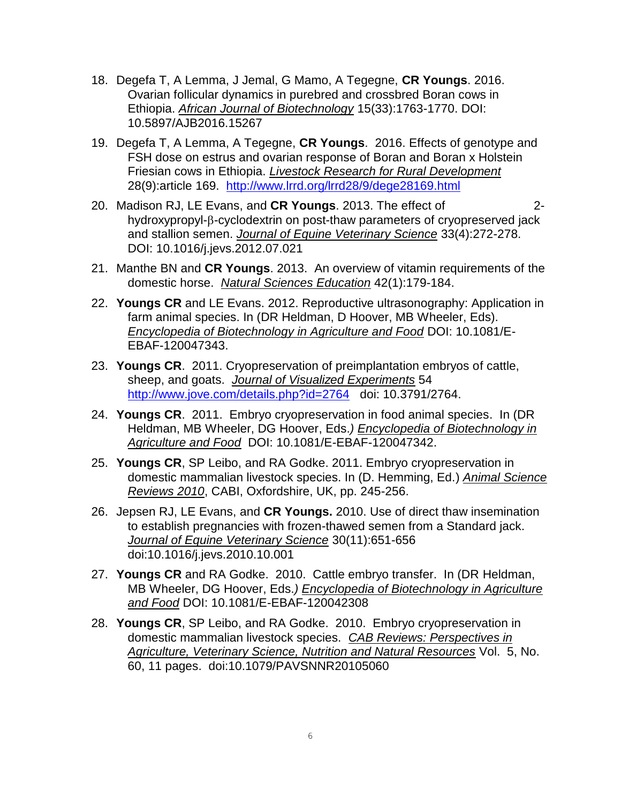- 18. Degefa T, A Lemma, J Jemal, G Mamo, A Tegegne, **CR Youngs**. 2016. Ovarian follicular dynamics in purebred and crossbred Boran cows in Ethiopia. *African Journal of Biotechnology* 15(33):1763-1770. DOI: 10.5897/AJB2016.15267
- 19. Degefa T, A Lemma, A Tegegne, **CR Youngs**. 2016. Effects of genotype and FSH dose on estrus and ovarian response of Boran and Boran x Holstein Friesian cows in Ethiopia. *Livestock Research for Rural Development* 28(9):article 169. <http://www.lrrd.org/lrrd28/9/dege28169.html>
- 20. Madison RJ, LE Evans, and **CR Youngs**. 2013. The effect of 2 hydroxypropyl- $\beta$ -cyclodextrin on post-thaw parameters of cryopreserved jack and stallion semen. *Journal of Equine Veterinary Science* 33(4):272-278. DOI: 10.1016/j.jevs.2012.07.021
- 21. Manthe BN and **CR Youngs**. 2013. An overview of vitamin requirements of the domestic horse. *Natural Sciences Education* 42(1):179-184.
- 22. **Youngs CR** and LE Evans. 2012. Reproductive ultrasonography: Application in farm animal species. In (DR Heldman, D Hoover, MB Wheeler, Eds). *Encyclopedia of Biotechnology in Agriculture and Food* DOI: 10.1081/E-EBAF-120047343.
- 23. **Youngs CR**. 2011. Cryopreservation of preimplantation embryos of cattle, sheep, and goats. *Journal of Visualized Experiments* 5[4](http://www.jove.com/details.php?id=2764) <http://www.jove.com/details.php?id=2764> doi: 10.3791/2764.
- 24. **Youngs CR**. 2011. Embryo cryopreservation in food animal species. In (DR Heldman, MB Wheeler, DG Hoover, Eds.*) Encyclopedia of Biotechnology in Agriculture and Food* DOI: 10.1081/E-EBAF-120047342.
- 25. **Youngs CR**, SP Leibo, and RA Godke. 2011. Embryo cryopreservation in domestic mammalian livestock species. In (D. Hemming, Ed.) *Animal Science Reviews 2010*, CABI, Oxfordshire, UK, pp. 245-256.
- 26. Jepsen RJ, LE Evans, and **CR Youngs.** 2010. Use of direct thaw insemination to establish pregnancies with frozen-thawed semen from a Standard jack. *Journal of Equine Veterinary Science* 30(11):651-656 doi:10.1016/j.jevs.2010.10.001
- 27. **Youngs CR** and RA Godke. 2010. Cattle embryo transfer. In (DR Heldman, MB Wheeler, DG Hoover, Eds.*) Encyclopedia of Biotechnology in Agriculture and Food* DOI: 10.1081/E-EBAF-120042308
- 28. **Youngs CR**, SP Leibo, and RA Godke. 2010. Embryo cryopreservation in domestic mammalian livestock species. *CAB Reviews: Perspectives in Agriculture, Veterinary Science, Nutrition and Natural Resources* Vol. 5, No. 60, 11 pages. doi:10.1079/PAVSNNR20105060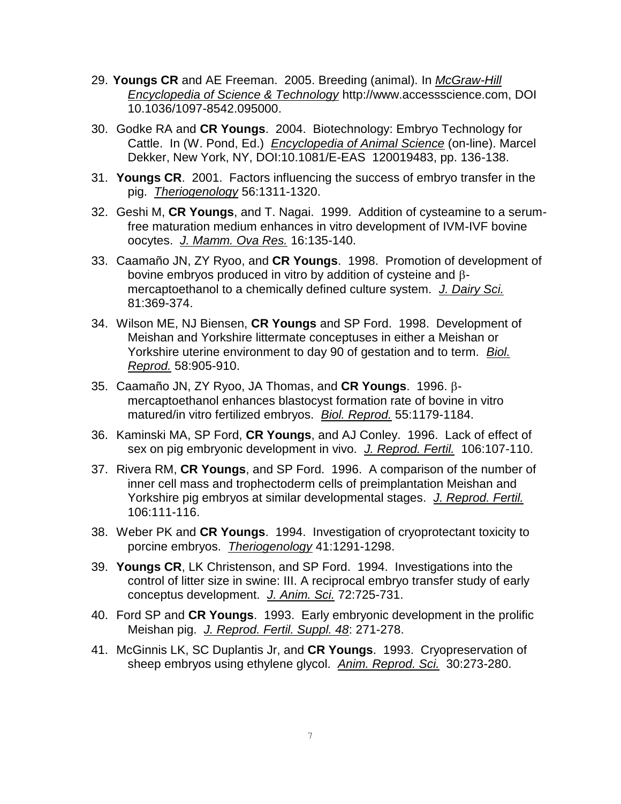- 29. **Youngs CR** and AE Freeman. 2005. Breeding (animal). In *McGraw-Hill Encyclopedia of Science & Technology* http://www.accessscience.com, DOI 10.1036/1097-8542.095000.
- 30. Godke RA and **CR Youngs**. 2004. Biotechnology: Embryo Technology for Cattle. In (W. Pond, Ed.) *Encyclopedia of Animal Science* (on-line). Marcel Dekker, New York, NY, DOI:10.1081/E-EAS 120019483, pp. 136-138.
- 31. **Youngs CR**. 2001. Factors influencing the success of embryo transfer in the pig. *Theriogenology* 56:1311-1320.
- 32. Geshi M, **CR Youngs**, and T. Nagai. 1999. Addition of cysteamine to a serumfree maturation medium enhances in vitro development of IVM-IVF bovine oocytes. *J. Mamm. Ova Res.* 16:135-140.
- 33. Caamaño JN, ZY Ryoo, and **CR Youngs**. 1998. Promotion of development of bovine embryos produced in vitro by addition of cysteine and  $\beta$ mercaptoethanol to a chemically defined culture system. *J. Dairy Sci.* 81:369-374.
- 34. Wilson ME, NJ Biensen, **CR Youngs** and SP Ford. 1998. Development of Meishan and Yorkshire littermate conceptuses in either a Meishan or Yorkshire uterine environment to day 90 of gestation and to term. *Biol. Reprod.* 58:905-910.
- 35. Caamaño JN, ZY Ryoo, JA Thomas, and CR Youngs. 1996. Bmercaptoethanol enhances blastocyst formation rate of bovine in vitro matured/in vitro fertilized embryos. *Biol. Reprod.* 55:1179-1184.
- 36. Kaminski MA, SP Ford, **CR Youngs**, and AJ Conley. 1996. Lack of effect of sex on pig embryonic development in vivo. *J. Reprod. Fertil.* 106:107-110.
- 37. Rivera RM, **CR Youngs**, and SP Ford. 1996. A comparison of the number of inner cell mass and trophectoderm cells of preimplantation Meishan and Yorkshire pig embryos at similar developmental stages. *J. Reprod. Fertil.* 106:111-116.
- 38. Weber PK and **CR Youngs**. 1994. Investigation of cryoprotectant toxicity to porcine embryos. *Theriogenology* 41:1291-1298.
- 39. **Youngs CR**, LK Christenson, and SP Ford. 1994. Investigations into the control of litter size in swine: III. A reciprocal embryo transfer study of early conceptus development. *J. Anim. Sci.* 72:725-731.
- 40. Ford SP and **CR Youngs**. 1993. Early embryonic development in the prolific Meishan pig. *J. Reprod. Fertil. Suppl. 48*: 271-278.
- 41. McGinnis LK, SC Duplantis Jr, and **CR Youngs**. 1993. Cryopreservation of sheep embryos using ethylene glycol. *Anim. Reprod. Sci.* 30:273-280.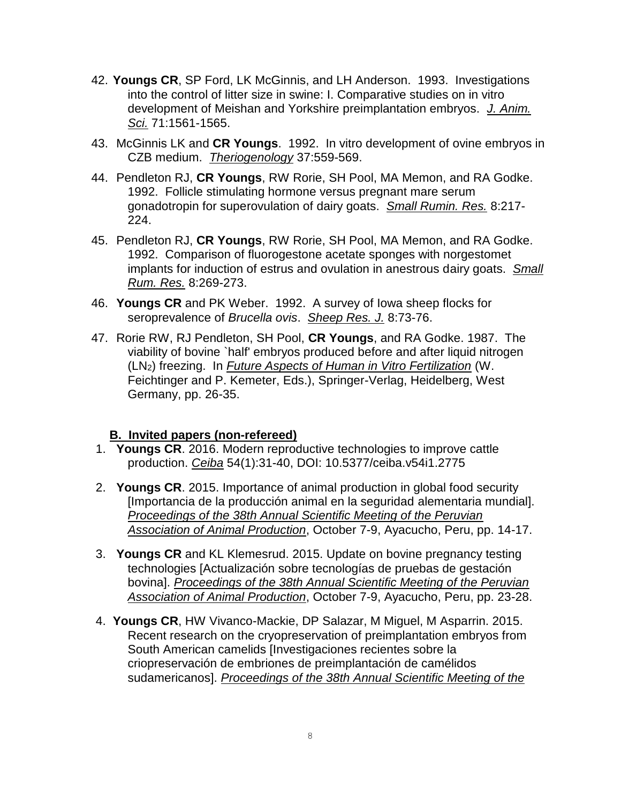- 42. **Youngs CR**, SP Ford, LK McGinnis, and LH Anderson. 1993. Investigations into the control of litter size in swine: I. Comparative studies on in vitro development of Meishan and Yorkshire preimplantation embryos. *J. Anim. Sci.* 71:1561-1565.
- 43. McGinnis LK and **CR Youngs**. 1992. In vitro development of ovine embryos in CZB medium. *Theriogenology* 37:559-569.
- 44. Pendleton RJ, **CR Youngs**, RW Rorie, SH Pool, MA Memon, and RA Godke. 1992. Follicle stimulating hormone versus pregnant mare serum gonadotropin for superovulation of dairy goats. *Small Rumin. Res.* 8:217- 224.
- 45. Pendleton RJ, **CR Youngs**, RW Rorie, SH Pool, MA Memon, and RA Godke. 1992. Comparison of fluorogestone acetate sponges with norgestomet implants for induction of estrus and ovulation in anestrous dairy goats. *Small Rum. Res.* 8:269-273.
- 46. **Youngs CR** and PK Weber. 1992. A survey of Iowa sheep flocks for seroprevalence of *Brucella ovis*. *Sheep Res. J.* 8:73-76.
- 47. Rorie RW, RJ Pendleton, SH Pool, **CR Youngs**, and RA Godke. 1987. The viability of bovine `half' embryos produced before and after liquid nitrogen (LN2) freezing. In *Future Aspects of Human in Vitro Fertilization* (W. Feichtinger and P. Kemeter, Eds.), Springer-Verlag, Heidelberg, West Germany, pp. 26-35.

## **B. Invited papers (non-refereed)**

- 1. **Youngs CR**. 2016. Modern reproductive technologies to improve cattle production. *Ceiba* 54(1):31-40, DOI: 10.5377/ceiba.v54i1.2775
- 2. **Youngs CR**. 2015. Importance of animal production in global food security [Importancia de la producción animal en la seguridad alementaria mundial]. *Proceedings of the 38th Annual Scientific Meeting of the Peruvian Association of Animal Production*, October 7-9, Ayacucho, Peru, pp. 14-17.
- 3. **Youngs CR** and KL Klemesrud. 2015. Update on bovine pregnancy testing technologies [Actualización sobre tecnologías de pruebas de gestación bovina]. *Proceedings of the 38th Annual Scientific Meeting of the Peruvian Association of Animal Production*, October 7-9, Ayacucho, Peru, pp. 23-28.
- 4. **Youngs CR**, HW Vivanco-Mackie, DP Salazar, M Miguel, M Asparrin. 2015. Recent research on the cryopreservation of preimplantation embryos from South American camelids [Investigaciones recientes sobre la criopreservación de embriones de preimplantación de camélidos sudamericanos]. *Proceedings of the 38th Annual Scientific Meeting of the*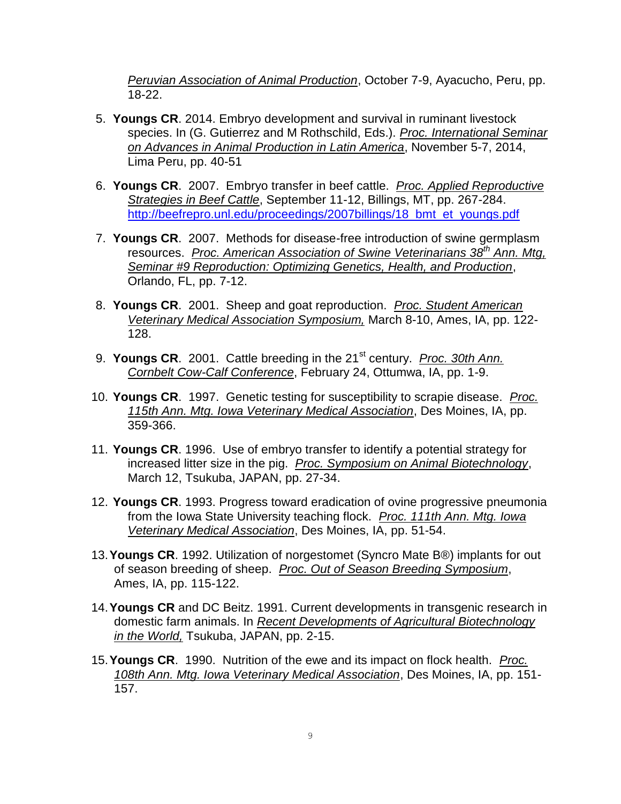*Peruvian Association of Animal Production*, October 7-9, Ayacucho, Peru, pp. 18-22.

- 5. **Youngs CR**. 2014. Embryo development and survival in ruminant livestock species. In (G. Gutierrez and M Rothschild, Eds.). *Proc. International Seminar on Advances in Animal Production in Latin America*, November 5-7, 2014, Lima Peru, pp. 40-51
- 6. **Youngs CR**. 2007. Embryo transfer in beef cattle. *Proc. Applied Reproductive Strategies in Beef Cattle*, September 11-12, Billings, MT, pp. 267-284. http://beefrepro.unl.edu/proceedings/2007billings/18 bmt\_et\_youngs.pdf
- 7. **Youngs CR**. 2007. Methods for disease-free introduction of swine germplasm resources. *Proc. American Association of Swine Veterinarians 38th Ann. Mtg, Seminar #9 Reproduction: Optimizing Genetics, Health, and Production*, Orlando, FL, pp. 7-12.
- 8. **Youngs CR**. 2001. Sheep and goat reproduction. *Proc. Student American Veterinary Medical Association Symposium,* March 8-10, Ames, IA, pp. 122- 128.
- 9. **Youngs CR**. 2001. Cattle breeding in the 21<sup>st</sup> century. *Proc. 30th Ann. Cornbelt Cow-Calf Conference*, February 24, Ottumwa, IA, pp. 1-9.
- 10. **Youngs CR**. 1997. Genetic testing for susceptibility to scrapie disease. *Proc. 115th Ann. Mtg. Iowa Veterinary Medical Association*, Des Moines, IA, pp. 359-366.
- 11. **Youngs CR**. 1996. Use of embryo transfer to identify a potential strategy for increased litter size in the pig. *Proc. Symposium on Animal Biotechnology*, March 12, Tsukuba, JAPAN, pp. 27-34.
- 12. **Youngs CR**. 1993. Progress toward eradication of ovine progressive pneumonia from the Iowa State University teaching flock. *Proc. 111th Ann. Mtg. Iowa Veterinary Medical Association*, Des Moines, IA, pp. 51-54.
- 13.**Youngs CR**. 1992. Utilization of norgestomet (Syncro Mate B®) implants for out of season breeding of sheep. *Proc. Out of Season Breeding Symposium*, Ames, IA, pp. 115-122.
- 14.**Youngs CR** and DC Beitz. 1991. Current developments in transgenic research in domestic farm animals. In *Recent Developments of Agricultural Biotechnology in the World,* Tsukuba, JAPAN, pp. 2-15.
- 15.**Youngs CR**. 1990. Nutrition of the ewe and its impact on flock health. *Proc. 108th Ann. Mtg. Iowa Veterinary Medical Association*, Des Moines, IA, pp. 151- 157.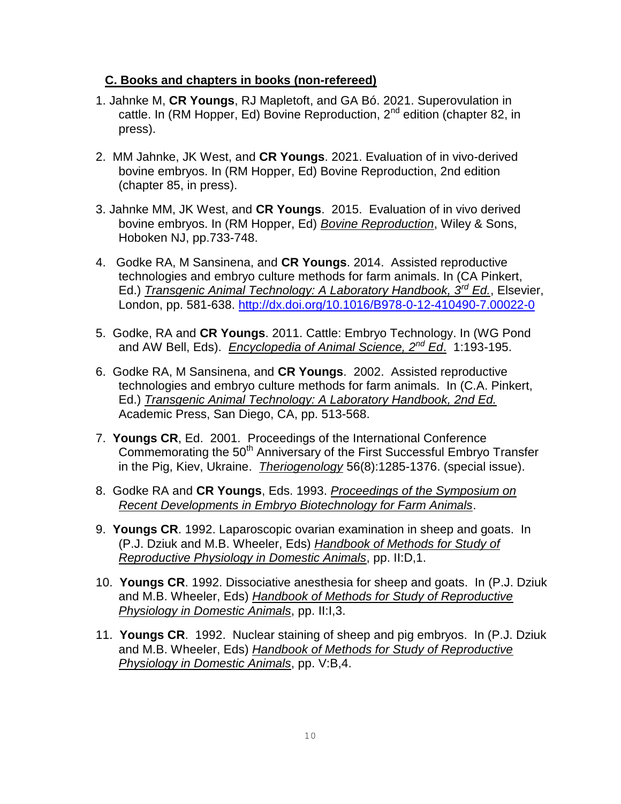## **C. Books and chapters in books (non-refereed)**

- 1. Jahnke M, **CR Youngs**, RJ Mapletoft, and GA Bó. 2021. Superovulation in cattle. In (RM Hopper, Ed) Bovine Reproduction, 2<sup>nd</sup> edition (chapter 82, in press).
- 2. MM Jahnke, JK West, and **CR Youngs**. 2021. Evaluation of in vivo-derived bovine embryos. In (RM Hopper, Ed) Bovine Reproduction, 2nd edition (chapter 85, in press).
- 3. Jahnke MM, JK West, and **CR Youngs**. 2015. Evaluation of in vivo derived bovine embryos. In (RM Hopper, Ed) *Bovine Reproduction*, Wiley & Sons, Hoboken NJ, pp.733-748.
- 4. Godke RA, M Sansinena, and **CR Youngs**. 2014. Assisted reproductive technologies and embryo culture methods for farm animals. In (CA Pinkert, Ed.) *Transgenic Animal Technology: A Laboratory Handbook, 3rd Ed.*, Elsevier, London, pp. 581-638.<http://dx.doi.org/10.1016/B978-0-12-410490-7.00022-0>
- 5. Godke, RA and **CR Youngs**. 2011. Cattle: Embryo Technology. In (WG Pond and AW Bell, Eds). *Encyclopedia of Animal Science, 2nd Ed*. 1:193-195.
- 6. Godke RA, M Sansinena, and **CR Youngs**. 2002. Assisted reproductive technologies and embryo culture methods for farm animals. In (C.A. Pinkert, Ed.) *Transgenic Animal Technology: A Laboratory Handbook, 2nd Ed.* Academic Press, San Diego, CA, pp. 513-568.
- 7. **Youngs CR**, Ed. 2001. Proceedings of the International Conference Commemorating the 50<sup>th</sup> Anniversary of the First Successful Embryo Transfer in the Pig, Kiev, Ukraine. *Theriogenology* 56(8):1285-1376. (special issue).
- 8. Godke RA and **CR Youngs**, Eds. 1993. *Proceedings of the Symposium on Recent Developments in Embryo Biotechnology for Farm Animals*.
- 9. **Youngs CR**. 1992. Laparoscopic ovarian examination in sheep and goats. In (P.J. Dziuk and M.B. Wheeler, Eds) *Handbook of Methods for Study of Reproductive Physiology in Domestic Animals*, pp. II:D,1.
- 10. **Youngs CR**. 1992. Dissociative anesthesia for sheep and goats. In (P.J. Dziuk and M.B. Wheeler, Eds) *Handbook of Methods for Study of Reproductive Physiology in Domestic Animals*, pp. II:I,3.
- 11. **Youngs CR**. 1992. Nuclear staining of sheep and pig embryos. In (P.J. Dziuk and M.B. Wheeler, Eds) *Handbook of Methods for Study of Reproductive Physiology in Domestic Animals*, pp. V:B,4.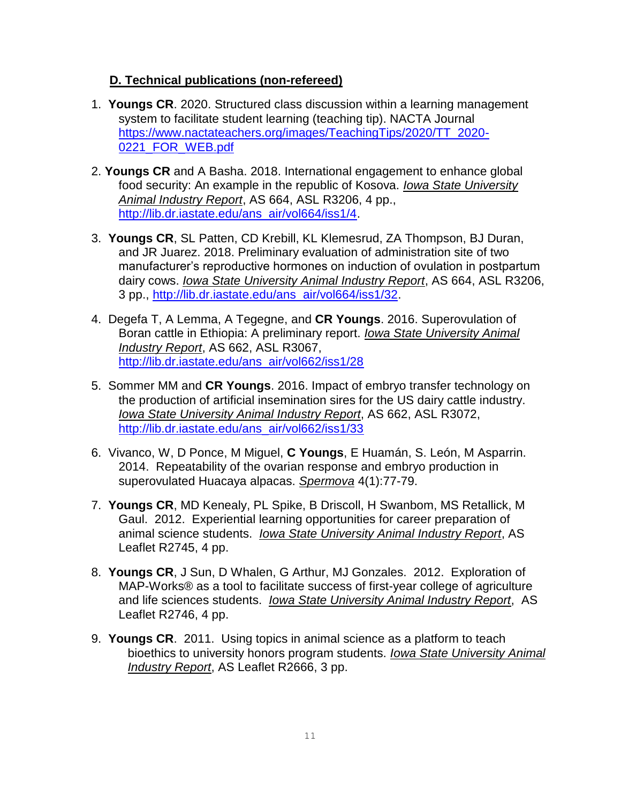## **D. Technical publications (non-refereed)**

- 1. **Youngs CR**. 2020. Structured class discussion within a learning management system to facilitate student learning (teaching tip). NACTA Journal [https://www.nactateachers.org/images/TeachingTips/2020/TT\\_2020-](https://www.nactateachers.org/images/TeachingTips/2020/TT_2020-0221_FOR_WEB.pdf) [0221\\_FOR\\_WEB.pdf](https://www.nactateachers.org/images/TeachingTips/2020/TT_2020-0221_FOR_WEB.pdf)
- 2. **Youngs CR** and A Basha. 2018. International engagement to enhance global food security: An example in the republic of Kosova. *Iowa State University Animal Industry Report*, AS 664, ASL R3206, 4 pp., [http://lib.dr.iastate.edu/ans\\_air/vol664/iss1/4.](http://lib.dr.iastate.edu/ans_air/vol664/iss1/4)
- 3. **Youngs CR**, SL Patten, CD Krebill, KL Klemesrud, ZA Thompson, BJ Duran, and JR Juarez. 2018. Preliminary evaluation of administration site of two manufacturer's reproductive hormones on induction of ovulation in postpartum dairy cows. *Iowa State University Animal Industry Report*, AS 664, ASL R3206, 3 pp., [http://lib.dr.iastate.edu/ans\\_air/vol664/iss1/32.](http://lib.dr.iastate.edu/ans_air/vol664/iss1/32)
- 4. Degefa T, A Lemma, A Tegegne, and **CR Youngs**. 2016. Superovulation of Boran cattle in Ethiopia: A preliminary report. *Iowa State University Animal Industry Report*, AS 662, ASL R3067, [http://lib.dr.iastate.edu/ans\\_air/vol662/iss1/28](http://lib.dr.iastate.edu/ans_air/vol662/iss1/28)
- 5. Sommer MM and **CR Youngs**. 2016. Impact of embryo transfer technology on the production of artificial insemination sires for the US dairy cattle industry. *Iowa State University Animal Industry Report*, AS 662, ASL R3072, [http://lib.dr.iastate.edu/ans\\_air/vol662/iss1/33](http://lib.dr.iastate.edu/ans_air/vol662/iss1/33)
- 6. Vivanco, W, D Ponce, M Miguel, **C Youngs**, E Huamán, S. León, M Asparrin. 2014. Repeatability of the ovarian response and embryo production in superovulated Huacaya alpacas. *Spermova* 4(1):77-79.
- 7. **Youngs CR**, MD Kenealy, PL Spike, B Driscoll, H Swanbom, MS Retallick, M Gaul. 2012. Experiential learning opportunities for career preparation of animal science students. *Iowa State University Animal Industry Report*, AS Leaflet R2745, 4 pp.
- 8. **Youngs CR**, J Sun, D Whalen, G Arthur, MJ Gonzales. 2012. Exploration of MAP-Works® as a tool to facilitate success of first-year college of agriculture and life sciences students. *Iowa State University Animal Industry Report*, AS Leaflet R2746, 4 pp.
- 9. **Youngs CR**. 2011. Using topics in animal science as a platform to teach bioethics to university honors program students. *Iowa State University Animal Industry Report*, AS Leaflet R2666, 3 pp.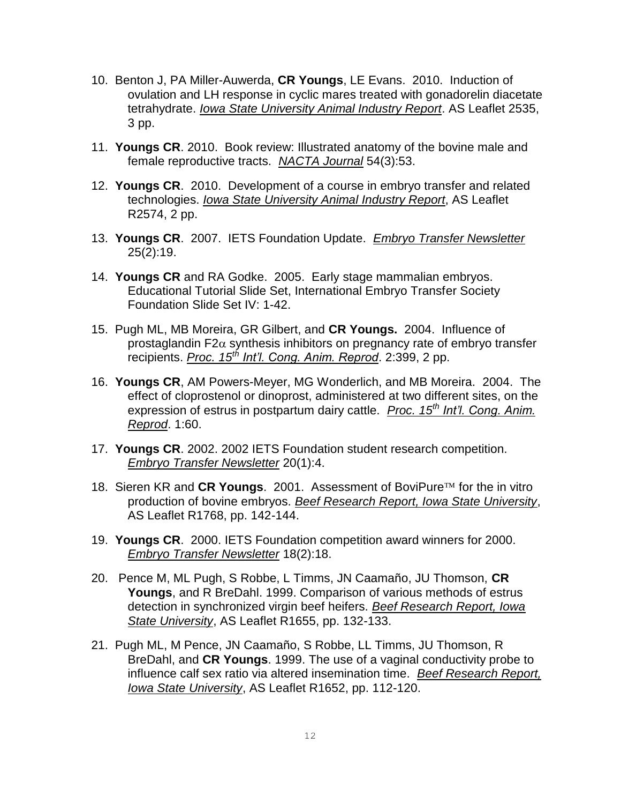- 10. Benton J, PA Miller-Auwerda, **CR Youngs**, LE Evans. 2010. Induction of ovulation and LH response in cyclic mares treated with gonadorelin diacetate tetrahydrate. *Iowa State University Animal Industry Report*. AS Leaflet 2535, 3 pp.
- 11. **Youngs CR**. 2010. Book review: Illustrated anatomy of the bovine male and female reproductive tracts. *NACTA Journal* 54(3):53.
- 12. **Youngs CR**. 2010. Development of a course in embryo transfer and related technologies. *Iowa State University Animal Industry Report*, AS Leaflet R2574, 2 pp.
- 13. **Youngs CR**. 2007. IETS Foundation Update. *Embryo Transfer Newsletter* 25(2):19.
- 14. **Youngs CR** and RA Godke. 2005. Early stage mammalian embryos. Educational Tutorial Slide Set, International Embryo Transfer Society Foundation Slide Set IV: 1-42.
- 15. Pugh ML, MB Moreira, GR Gilbert, and **CR Youngs.** 2004. Influence of prostaglandin F2 $\alpha$  synthesis inhibitors on pregnancy rate of embryo transfer recipients. *Proc. 15th Int'l. Cong. Anim. Reprod*. 2:399, 2 pp.
- 16. **Youngs CR**, AM Powers-Meyer, MG Wonderlich, and MB Moreira. 2004. The effect of cloprostenol or dinoprost, administered at two different sites, on the expression of estrus in postpartum dairy cattle. *Proc. 15th Int'l. Cong. Anim. Reprod*. 1:60.
- 17. **Youngs CR**. 2002. 2002 IETS Foundation student research competition. *Embryo Transfer Newsletter* 20(1):4.
- 18. Sieren KR and **CR Youngs**. 2001. Assessment of BoviPure for the in vitro production of bovine embryos. *Beef Research Report, Iowa State University*, AS Leaflet R1768, pp. 142-144.
- 19. **Youngs CR**. 2000. IETS Foundation competition award winners for 2000. *Embryo Transfer Newsletter* 18(2):18.
- 20. Pence M, ML Pugh, S Robbe, L Timms, JN Caamaño, JU Thomson, **CR Youngs**, and R BreDahl. 1999. Comparison of various methods of estrus detection in synchronized virgin beef heifers. *Beef Research Report, Iowa State University*, AS Leaflet R1655, pp. 132-133.
- 21. Pugh ML, M Pence, JN Caamaño, S Robbe, LL Timms, JU Thomson, R BreDahl, and **CR Youngs**. 1999. The use of a vaginal conductivity probe to influence calf sex ratio via altered insemination time. *Beef Research Report, Iowa State University*, AS Leaflet R1652, pp. 112-120.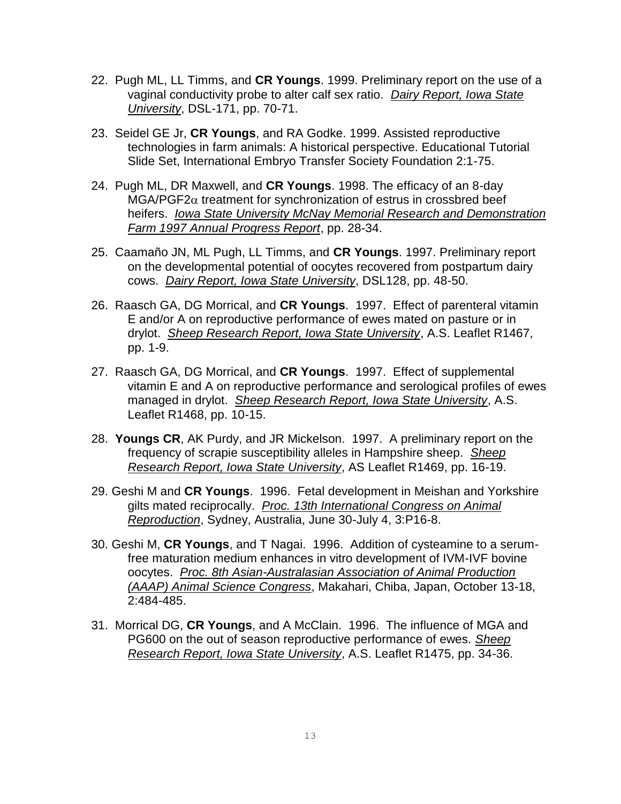- 22. Pugh ML, LL Timms, and **CR Youngs**. 1999. Preliminary report on the use of a vaginal conductivity probe to alter calf sex ratio. *Dairy Report, Iowa State University*, DSL-171, pp. 70-71.
- 23. Seidel GE Jr, **CR Youngs**, and RA Godke. 1999. Assisted reproductive technologies in farm animals: A historical perspective. Educational Tutorial Slide Set, International Embryo Transfer Society Foundation 2:1-75.
- 24. Pugh ML, DR Maxwell, and **CR Youngs**. 1998. The efficacy of an 8-day  $MGA/PGF2\alpha$  treatment for synchronization of estrus in crossbred beef heifers. *Iowa State University McNay Memorial Research and Demonstration Farm 1997 Annual Progress Report*, pp. 28-34.
- 25. Caamaño JN, ML Pugh, LL Timms, and **CR Youngs**. 1997. Preliminary report on the developmental potential of oocytes recovered from postpartum dairy cows. *Dairy Report, Iowa State University*, DSL128, pp. 48-50.
- 26. Raasch GA, DG Morrical, and **CR Youngs**. 1997. Effect of parenteral vitamin E and/or A on reproductive performance of ewes mated on pasture or in drylot. *Sheep Research Report, Iowa State University*, A.S. Leaflet R1467, pp. 1-9.
- 27. Raasch GA, DG Morrical, and **CR Youngs**. 1997. Effect of supplemental vitamin E and A on reproductive performance and serological profiles of ewes managed in drylot. *Sheep Research Report, Iowa State University*, A.S. Leaflet R1468, pp. 10-15.
- 28. **Youngs CR**, AK Purdy, and JR Mickelson. 1997. A preliminary report on the frequency of scrapie susceptibility alleles in Hampshire sheep. *Sheep Research Report, Iowa State University*, AS Leaflet R1469, pp. 16-19.
- 29. Geshi M and **CR Youngs**. 1996. Fetal development in Meishan and Yorkshire gilts mated reciprocally. *Proc. 13th International Congress on Animal Reproduction*, Sydney, Australia, June 30-July 4, 3:P16-8.
- 30. Geshi M, **CR Youngs**, and T Nagai. 1996. Addition of cysteamine to a serumfree maturation medium enhances in vitro development of IVM-IVF bovine oocytes. *Proc. 8th Asian-Australasian Association of Animal Production (AAAP) Animal Science Congress*, Makahari, Chiba, Japan, October 13-18, 2:484-485.
- 31. Morrical DG, **CR Youngs**, and A McClain. 1996. The influence of MGA and PG600 on the out of season reproductive performance of ewes. *Sheep Research Report, Iowa State University*, A.S. Leaflet R1475, pp. 34-36.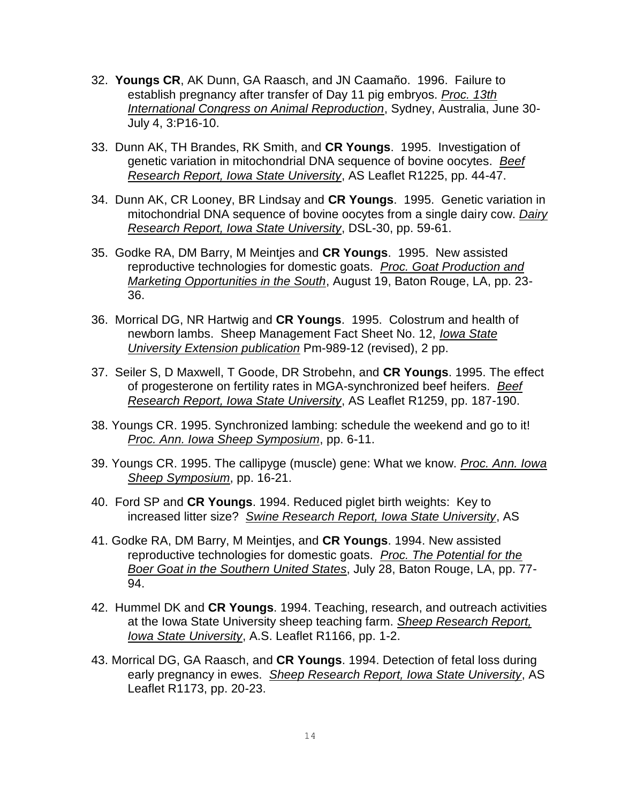- 32. **Youngs CR**, AK Dunn, GA Raasch, and JN Caamaño. 1996. Failure to establish pregnancy after transfer of Day 11 pig embryos. *Proc. 13th International Congress on Animal Reproduction*, Sydney, Australia, June 30- July 4, 3:P16-10.
- 33. Dunn AK, TH Brandes, RK Smith, and **CR Youngs**. 1995. Investigation of genetic variation in mitochondrial DNA sequence of bovine oocytes. *Beef Research Report, Iowa State University*, AS Leaflet R1225, pp. 44-47.
- 34. Dunn AK, CR Looney, BR Lindsay and **CR Youngs**. 1995. Genetic variation in mitochondrial DNA sequence of bovine oocytes from a single dairy cow. *Dairy Research Report, Iowa State University*, DSL-30, pp. 59-61.
- 35. Godke RA, DM Barry, M Meintjes and **CR Youngs**. 1995. New assisted reproductive technologies for domestic goats. *Proc. Goat Production and Marketing Opportunities in the South*, August 19, Baton Rouge, LA, pp. 23- 36.
- 36. Morrical DG, NR Hartwig and **CR Youngs**. 1995. Colostrum and health of newborn lambs. Sheep Management Fact Sheet No. 12, *Iowa State University Extension publication* Pm-989-12 (revised), 2 pp.
- 37. Seiler S, D Maxwell, T Goode, DR Strobehn, and **CR Youngs**. 1995. The effect of progesterone on fertility rates in MGA-synchronized beef heifers. *Beef Research Report, Iowa State University*, AS Leaflet R1259, pp. 187-190.
- 38. Youngs CR. 1995. Synchronized lambing: schedule the weekend and go to it! *Proc. Ann. Iowa Sheep Symposium*, pp. 6-11.
- 39. Youngs CR. 1995. The callipyge (muscle) gene: What we know. *Proc. Ann. Iowa Sheep Symposium*, pp. 16-21.
- 40. Ford SP and **CR Youngs**. 1994. Reduced piglet birth weights: Key to increased litter size? *Swine Research Report, Iowa State University*, AS
- 41. Godke RA, DM Barry, M Meintjes, and **CR Youngs**. 1994. New assisted reproductive technologies for domestic goats. *Proc. The Potential for the Boer Goat in the Southern United States*, July 28, Baton Rouge, LA, pp. 77- 94.
- 42. Hummel DK and **CR Youngs**. 1994. Teaching, research, and outreach activities at the Iowa State University sheep teaching farm. *Sheep Research Report, Iowa State University*, A.S. Leaflet R1166, pp. 1-2.
- 43. Morrical DG, GA Raasch, and **CR Youngs**. 1994. Detection of fetal loss during early pregnancy in ewes. *Sheep Research Report, Iowa State University*, AS Leaflet R1173, pp. 20-23.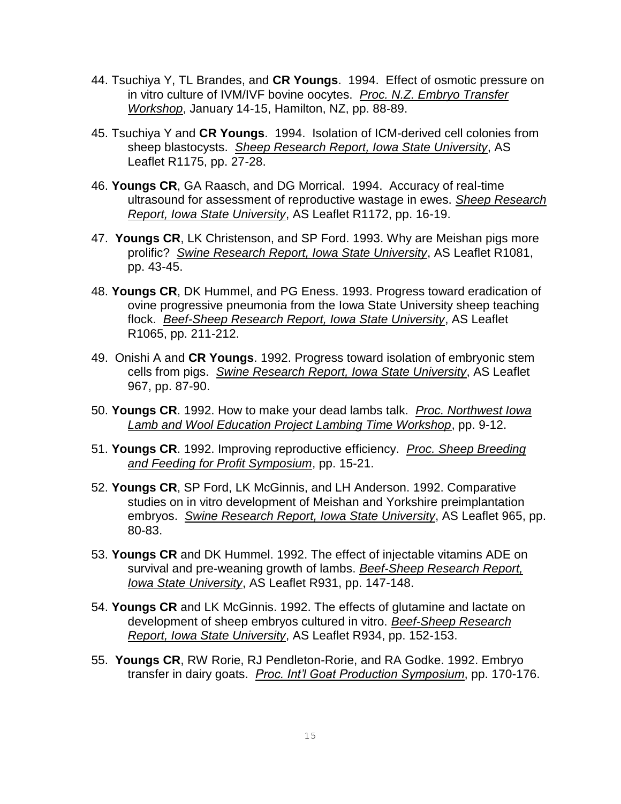- 44. Tsuchiya Y, TL Brandes, and **CR Youngs**. 1994. Effect of osmotic pressure on in vitro culture of IVM/IVF bovine oocytes. *Proc. N.Z. Embryo Transfer Workshop*, January 14-15, Hamilton, NZ, pp. 88-89.
- 45. Tsuchiya Y and **CR Youngs**. 1994. Isolation of ICM-derived cell colonies from sheep blastocysts. *Sheep Research Report, Iowa State University*, AS Leaflet R1175, pp. 27-28.
- 46. **Youngs CR**, GA Raasch, and DG Morrical. 1994. Accuracy of real-time ultrasound for assessment of reproductive wastage in ewes. *Sheep Research Report, Iowa State University*, AS Leaflet R1172, pp. 16-19.
- 47. **Youngs CR**, LK Christenson, and SP Ford. 1993. Why are Meishan pigs more prolific? *Swine Research Report, Iowa State University*, AS Leaflet R1081, pp. 43-45.
- 48. **Youngs CR**, DK Hummel, and PG Eness. 1993. Progress toward eradication of ovine progressive pneumonia from the Iowa State University sheep teaching flock. *Beef-Sheep Research Report, Iowa State University*, AS Leaflet R1065, pp. 211-212.
- 49. Onishi A and **CR Youngs**. 1992. Progress toward isolation of embryonic stem cells from pigs. *Swine Research Report, Iowa State University*, AS Leaflet 967, pp. 87-90.
- 50. **Youngs CR**. 1992. How to make your dead lambs talk. *Proc. Northwest Iowa Lamb and Wool Education Project Lambing Time Workshop*, pp. 9-12.
- 51. **Youngs CR**. 1992. Improving reproductive efficiency. *Proc. Sheep Breeding and Feeding for Profit Symposium*, pp. 15-21.
- 52. **Youngs CR**, SP Ford, LK McGinnis, and LH Anderson. 1992. Comparative studies on in vitro development of Meishan and Yorkshire preimplantation embryos. *Swine Research Report, Iowa State University*, AS Leaflet 965, pp. 80-83.
- 53. **Youngs CR** and DK Hummel. 1992. The effect of injectable vitamins ADE on survival and pre-weaning growth of lambs. *Beef-Sheep Research Report, Iowa State University*, AS Leaflet R931, pp. 147-148.
- 54. **Youngs CR** and LK McGinnis. 1992. The effects of glutamine and lactate on development of sheep embryos cultured in vitro. *Beef-Sheep Research Report, Iowa State University*, AS Leaflet R934, pp. 152-153.
- 55. **Youngs CR**, RW Rorie, RJ Pendleton-Rorie, and RA Godke. 1992. Embryo transfer in dairy goats. *Proc. Int'l Goat Production Symposium*, pp. 170-176.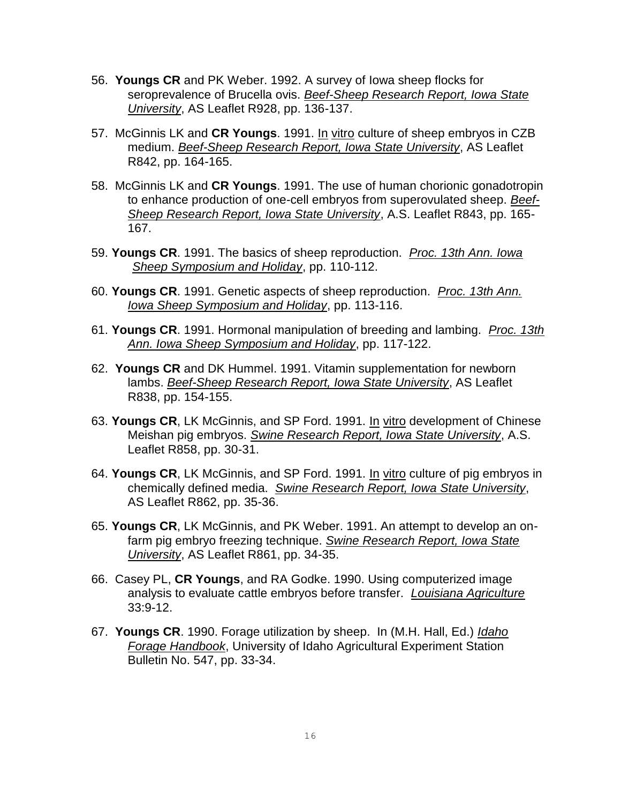- 56. **Youngs CR** and PK Weber. 1992. A survey of Iowa sheep flocks for seroprevalence of Brucella ovis. *Beef-Sheep Research Report, Iowa State University*, AS Leaflet R928, pp. 136-137.
- 57. McGinnis LK and **CR Youngs**. 1991. In vitro culture of sheep embryos in CZB medium. *Beef-Sheep Research Report, Iowa State University*, AS Leaflet R842, pp. 164-165.
- 58. McGinnis LK and **CR Youngs**. 1991. The use of human chorionic gonadotropin to enhance production of one-cell embryos from superovulated sheep. *Beef-Sheep Research Report, Iowa State University*, A.S. Leaflet R843, pp. 165- 167.
- 59. **Youngs CR**. 1991. The basics of sheep reproduction. *Proc. 13th Ann. Iowa Sheep Symposium and Holiday*, pp. 110-112.
- 60. **Youngs CR**. 1991. Genetic aspects of sheep reproduction. *Proc. 13th Ann. Iowa Sheep Symposium and Holiday*, pp. 113-116.
- 61. **Youngs CR**. 1991. Hormonal manipulation of breeding and lambing. *Proc. 13th Ann. Iowa Sheep Symposium and Holiday*, pp. 117-122.
- 62. **Youngs CR** and DK Hummel. 1991. Vitamin supplementation for newborn lambs. *Beef-Sheep Research Report, Iowa State University*, AS Leaflet R838, pp. 154-155.
- 63. **Youngs CR**, LK McGinnis, and SP Ford. 1991. In vitro development of Chinese Meishan pig embryos. *Swine Research Report, Iowa State University*, A.S. Leaflet R858, pp. 30-31.
- 64. **Youngs CR**, LK McGinnis, and SP Ford. 1991. In vitro culture of pig embryos in chemically defined media. *Swine Research Report, Iowa State University*, AS Leaflet R862, pp. 35-36.
- 65. **Youngs CR**, LK McGinnis, and PK Weber. 1991. An attempt to develop an onfarm pig embryo freezing technique. *Swine Research Report, Iowa State University*, AS Leaflet R861, pp. 34-35.
- 66. Casey PL, **CR Youngs**, and RA Godke. 1990. Using computerized image analysis to evaluate cattle embryos before transfer. *Louisiana Agriculture* 33:9-12.
- 67. **Youngs CR**. 1990. Forage utilization by sheep. In (M.H. Hall, Ed.) *Idaho Forage Handbook*, University of Idaho Agricultural Experiment Station Bulletin No. 547, pp. 33-34.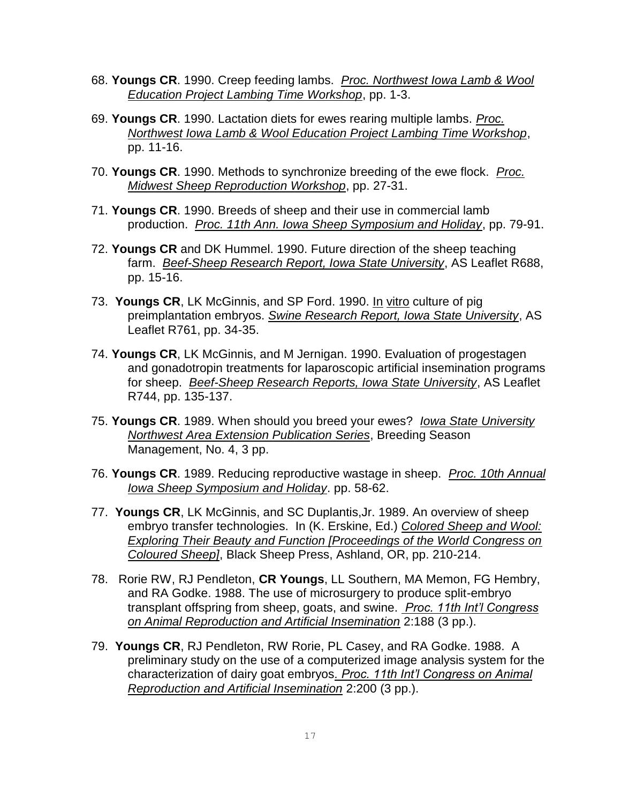- 68. **Youngs CR**. 1990. Creep feeding lambs. *Proc. Northwest Iowa Lamb & Wool Education Project Lambing Time Workshop*, pp. 1-3.
- 69. **Youngs CR**. 1990. Lactation diets for ewes rearing multiple lambs. *Proc. Northwest Iowa Lamb & Wool Education Project Lambing Time Workshop*, pp. 11-16.
- 70. **Youngs CR**. 1990. Methods to synchronize breeding of the ewe flock. *Proc. Midwest Sheep Reproduction Workshop*, pp. 27-31.
- 71. **Youngs CR**. 1990. Breeds of sheep and their use in commercial lamb production. *Proc. 11th Ann. Iowa Sheep Symposium and Holiday*, pp. 79-91.
- 72. **Youngs CR** and DK Hummel. 1990. Future direction of the sheep teaching farm. *Beef-Sheep Research Report, Iowa State University*, AS Leaflet R688, pp. 15-16.
- 73. **Youngs CR**, LK McGinnis, and SP Ford. 1990. In vitro culture of pig preimplantation embryos. *Swine Research Report, Iowa State University*, AS Leaflet R761, pp. 34-35.
- 74. **Youngs CR**, LK McGinnis, and M Jernigan. 1990. Evaluation of progestagen and gonadotropin treatments for laparoscopic artificial insemination programs for sheep. *Beef-Sheep Research Reports, Iowa State University*, AS Leaflet R744, pp. 135-137.
- 75. **Youngs CR**. 1989. When should you breed your ewes? *Iowa State University Northwest Area Extension Publication Series*, Breeding Season Management, No. 4, 3 pp.
- 76. **Youngs CR**. 1989. Reducing reproductive wastage in sheep. *Proc. 10th Annual Iowa Sheep Symposium and Holiday*. pp. 58-62.
- 77. **Youngs CR**, LK McGinnis, and SC Duplantis,Jr. 1989. An overview of sheep embryo transfer technologies. In (K. Erskine, Ed.) *Colored Sheep and Wool: Exploring Their Beauty and Function [Proceedings of the World Congress on Coloured Sheep]*, Black Sheep Press, Ashland, OR, pp. 210-214.
- 78. Rorie RW, RJ Pendleton, **CR Youngs**, LL Southern, MA Memon, FG Hembry, and RA Godke. 1988. The use of microsurgery to produce split-embryo transplant offspring from sheep, goats, and swine. *Proc. 11th Int'l Congress on Animal Reproduction and Artificial Insemination* 2:188 (3 pp.).
- 79. **Youngs CR**, RJ Pendleton, RW Rorie, PL Casey, and RA Godke. 1988. A preliminary study on the use of a computerized image analysis system for the characterization of dairy goat embryos*. Proc. 11th Int'l Congress on Animal Reproduction and Artificial Insemination* 2:200 (3 pp.).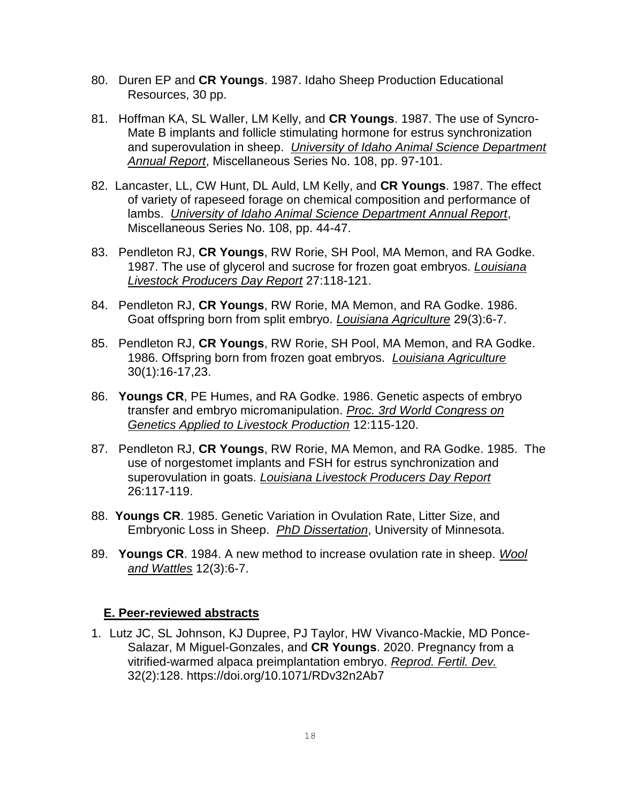- 80. Duren EP and **CR Youngs**. 1987. Idaho Sheep Production Educational Resources, 30 pp.
- 81. Hoffman KA, SL Waller, LM Kelly, and **CR Youngs**. 1987. The use of Syncro-Mate B implants and follicle stimulating hormone for estrus synchronization and superovulation in sheep. *University of Idaho Animal Science Department Annual Report*, Miscellaneous Series No. 108, pp. 97-101.
- 82. Lancaster, LL, CW Hunt, DL Auld, LM Kelly, and **CR Youngs**. 1987. The effect of variety of rapeseed forage on chemical composition and performance of lambs. *University of Idaho Animal Science Department Annual Report*, Miscellaneous Series No. 108, pp. 44-47.
- 83. Pendleton RJ, **CR Youngs**, RW Rorie, SH Pool, MA Memon, and RA Godke. 1987. The use of glycerol and sucrose for frozen goat embryos. *Louisiana Livestock Producers Day Report* 27:118-121.
- 84. Pendleton RJ, **CR Youngs**, RW Rorie, MA Memon, and RA Godke. 1986. Goat offspring born from split embryo. *Louisiana Agriculture* 29(3):6-7.
- 85. Pendleton RJ, **CR Youngs**, RW Rorie, SH Pool, MA Memon, and RA Godke. 1986. Offspring born from frozen goat embryos. *Louisiana Agriculture* 30(1):16-17,23.
- 86. **Youngs CR**, PE Humes, and RA Godke. 1986. Genetic aspects of embryo transfer and embryo micromanipulation. *Proc. 3rd World Congress on Genetics Applied to Livestock Production* 12:115-120.
- 87. Pendleton RJ, **CR Youngs**, RW Rorie, MA Memon, and RA Godke. 1985. The use of norgestomet implants and FSH for estrus synchronization and superovulation in goats. *Louisiana Livestock Producers Day Report* 26:117-119.
- 88. **Youngs CR**. 1985. Genetic Variation in Ovulation Rate, Litter Size, and Embryonic Loss in Sheep. *PhD Dissertation*, University of Minnesota.
- 89. **Youngs CR**. 1984. A new method to increase ovulation rate in sheep. *Wool and Wattles* 12(3):6-7.

## **E. Peer-reviewed abstracts**

1. Lutz JC, SL Johnson, KJ Dupree, PJ Taylor, HW Vivanco-Mackie, MD Ponce-Salazar, M Miguel-Gonzales, and **CR Youngs**. 2020. Pregnancy from a vitrified-warmed alpaca preimplantation embryo. *Reprod. Fertil. Dev.* 32(2):128. https://doi.org/10.1071/RDv32n2Ab7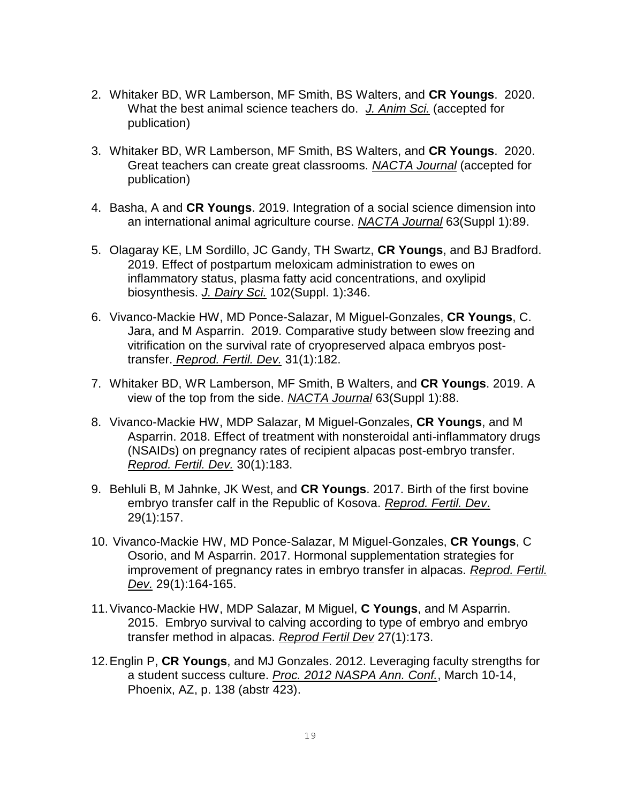- 2. Whitaker BD, WR Lamberson, MF Smith, BS Walters, and **CR Youngs**. 2020. What the best animal science teachers do. *J. Anim Sci.* (accepted for publication)
- 3. Whitaker BD, WR Lamberson, MF Smith, BS Walters, and **CR Youngs**. 2020. Great teachers can create great classrooms. *NACTA Journal* (accepted for publication)
- 4. Basha, A and **CR Youngs**. 2019. Integration of a social science dimension into an international animal agriculture course. *NACTA Journal* 63(Suppl 1):89.
- 5. Olagaray KE, LM Sordillo, JC Gandy, TH Swartz, **CR Youngs**, and BJ Bradford. 2019. Effect of postpartum meloxicam administration to ewes on inflammatory status, plasma fatty acid concentrations, and oxylipid biosynthesis. *J. Dairy Sci.* 102(Suppl. 1):346.
- 6. Vivanco-Mackie HW, MD Ponce-Salazar, M Miguel-Gonzales, **CR Youngs**, C. Jara, and M Asparrin. 2019. Comparative study between slow freezing and vitrification on the survival rate of cryopreserved alpaca embryos posttransfer. *Reprod. Fertil. Dev.* 31(1):182.
- 7. Whitaker BD, WR Lamberson, MF Smith, B Walters, and **CR Youngs**. 2019. A view of the top from the side. *NACTA Journal* 63(Suppl 1):88.
- 8. Vivanco-Mackie HW, MDP Salazar, M Miguel-Gonzales, **CR Youngs**, and M Asparrin. 2018. Effect of treatment with nonsteroidal anti-inflammatory drugs (NSAIDs) on pregnancy rates of recipient alpacas post-embryo transfer. *Reprod. Fertil. Dev.* 30(1):183.
- 9. Behluli B, M Jahnke, JK West, and **CR Youngs**. 2017. Birth of the first bovine embryo transfer calf in the Republic of Kosova. *Reprod. Fertil. Dev*. 29(1):157.
- 10. Vivanco-Mackie HW, MD Ponce-Salazar, M Miguel-Gonzales, **CR Youngs**, C Osorio, and M Asparrin. 2017. Hormonal supplementation strategies for improvement of pregnancy rates in embryo transfer in alpacas. *Reprod. Fertil. Dev.* 29(1):164-165.
- 11.Vivanco-Mackie HW, MDP Salazar, M Miguel, **C Youngs**, and M Asparrin. 2015. Embryo survival to calving according to type of embryo and embryo transfer method in alpacas. *Reprod Fertil Dev* 27(1):173.
- 12.Englin P, **CR Youngs**, and MJ Gonzales. 2012. Leveraging faculty strengths for a student success culture. *Proc. 2012 NASPA Ann. Conf.*, March 10-14, Phoenix, AZ, p. 138 (abstr 423).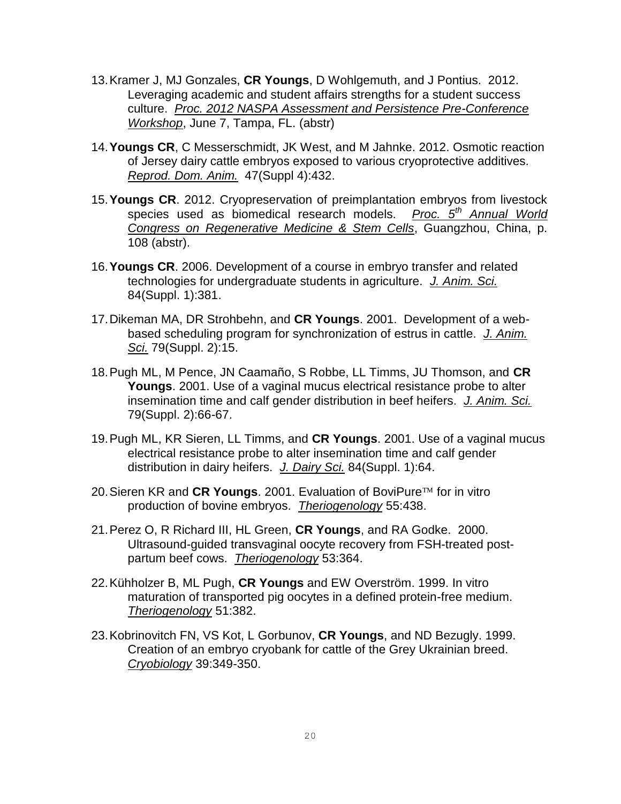- 13.Kramer J, MJ Gonzales, **CR Youngs**, D Wohlgemuth, and J Pontius. 2012. Leveraging academic and student affairs strengths for a student success culture. *Proc. 2012 NASPA Assessment and Persistence Pre-Conference Workshop*, June 7, Tampa, FL. (abstr)
- 14.**Youngs CR**, C Messerschmidt, JK West, and M Jahnke. 2012. Osmotic reaction of Jersey dairy cattle embryos exposed to various cryoprotective additives*. Reprod. Dom. Anim.* 47(Suppl 4):432.
- 15.**Youngs CR**. 2012. Cryopreservation of preimplantation embryos from livestock species used as biomedical research models. *Proc. 5th Annual World Congress on Regenerative Medicine & Stem Cells*, Guangzhou, China, p. 108 (abstr).
- 16.**Youngs CR**. 2006. Development of a course in embryo transfer and related technologies for undergraduate students in agriculture. *J. Anim. Sci.* 84(Suppl. 1):381.
- 17.Dikeman MA, DR Strohbehn, and **CR Youngs**. 2001. Development of a webbased scheduling program for synchronization of estrus in cattle. *J. Anim. Sci.* 79(Suppl. 2):15.
- 18.Pugh ML, M Pence, JN Caamaño, S Robbe, LL Timms, JU Thomson, and **CR Youngs**. 2001. Use of a vaginal mucus electrical resistance probe to alter insemination time and calf gender distribution in beef heifers. *J. Anim. Sci.* 79(Suppl. 2):66-67.
- 19.Pugh ML, KR Sieren, LL Timms, and **CR Youngs**. 2001. Use of a vaginal mucus electrical resistance probe to alter insemination time and calf gender distribution in dairy heifers. *J. Dairy Sci.* 84(Suppl. 1):64.
- 20. Sieren KR and CR Youngs. 2001. Evaluation of BoviPure<sup>™</sup> for in vitro production of bovine embryos. *Theriogenology* 55:438.
- 21.Perez O, R Richard III, HL Green, **CR Youngs**, and RA Godke. 2000. Ultrasound-guided transvaginal oocyte recovery from FSH-treated postpartum beef cows. *Theriogenology* 53:364.
- 22.Kühholzer B, ML Pugh, **CR Youngs** and EW Overström. 1999. In vitro maturation of transported pig oocytes in a defined protein-free medium. *Theriogenology* 51:382.
- 23.Kobrinovitch FN, VS Kot, L Gorbunov, **CR Youngs**, and ND Bezugly. 1999. Creation of an embryo cryobank for cattle of the Grey Ukrainian breed. *Cryobiology* 39:349-350.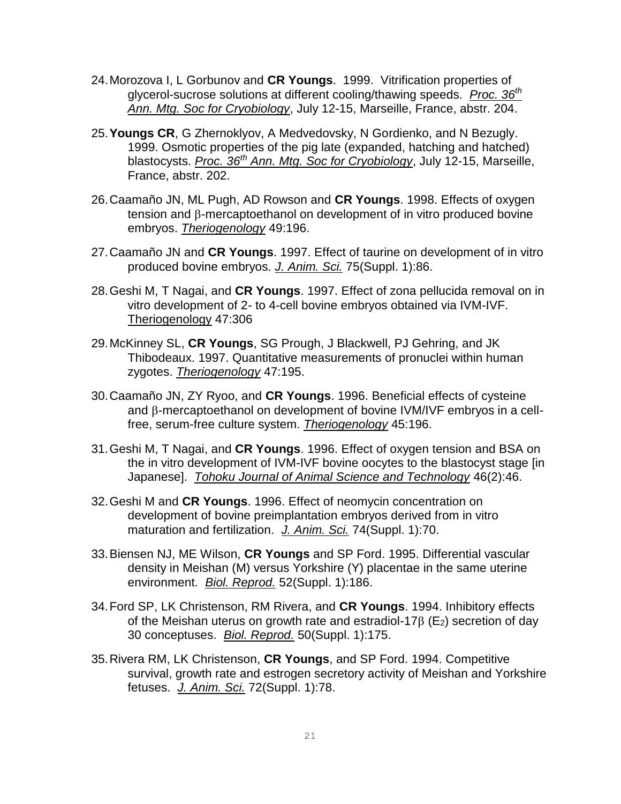- 24.Morozova I, L Gorbunov and **CR Youngs**. 1999. Vitrification properties of glycerol-sucrose solutions at different cooling/thawing speeds. *Proc. 36th Ann. Mtg. Soc for Cryobiology*, July 12-15, Marseille, France, abstr. 204.
- 25.**Youngs CR**, G Zhernoklyov, A Medvedovsky, N Gordienko, and N Bezugly. 1999. Osmotic properties of the pig late (expanded, hatching and hatched) blastocysts. *Proc. 36th Ann. Mtg. Soc for Cryobiology*, July 12-15, Marseille, France, abstr. 202.
- 26.Caamaño JN, ML Pugh, AD Rowson and **CR Youngs**. 1998. Effects of oxygen tension and B-mercaptoethanol on development of in vitro produced bovine embryos. *Theriogenology* 49:196.
- 27.Caamaño JN and **CR Youngs**. 1997. Effect of taurine on development of in vitro produced bovine embryos. *J. Anim. Sci.* 75(Suppl. 1):86.
- 28.Geshi M, T Nagai, and **CR Youngs**. 1997. Effect of zona pellucida removal on in vitro development of 2- to 4-cell bovine embryos obtained via IVM-IVF. Theriogenology 47:306
- 29.McKinney SL, **CR Youngs**, SG Prough, J Blackwell, PJ Gehring, and JK Thibodeaux. 1997. Quantitative measurements of pronuclei within human zygotes. *Theriogenology* 47:195.
- 30.Caamaño JN, ZY Ryoo, and **CR Youngs**. 1996. Beneficial effects of cysteine and  $\beta$ -mercaptoethanol on development of bovine IVM/IVF embryos in a cellfree, serum-free culture system. *Theriogenology* 45:196.
- 31.Geshi M, T Nagai, and **CR Youngs**. 1996. Effect of oxygen tension and BSA on the in vitro development of IVM-IVF bovine oocytes to the blastocyst stage [in Japanese]. *Tohoku Journal of Animal Science and Technology* 46(2):46.
- 32.Geshi M and **CR Youngs**. 1996. Effect of neomycin concentration on development of bovine preimplantation embryos derived from in vitro maturation and fertilization. *J. Anim. Sci.* 74(Suppl. 1):70.
- 33.Biensen NJ, ME Wilson, **CR Youngs** and SP Ford. 1995. Differential vascular density in Meishan (M) versus Yorkshire (Y) placentae in the same uterine environment. *Biol. Reprod.* 52(Suppl. 1):186.
- 34.Ford SP, LK Christenson, RM Rivera, and **CR Youngs**. 1994. Inhibitory effects of the Meishan uterus on growth rate and estradiol-17 $\beta$  (E<sub>2</sub>) secretion of day 30 conceptuses. *Biol. Reprod.* 50(Suppl. 1):175.
- 35.Rivera RM, LK Christenson, **CR Youngs**, and SP Ford. 1994. Competitive survival, growth rate and estrogen secretory activity of Meishan and Yorkshire fetuses. *J. Anim. Sci.* 72(Suppl. 1):78.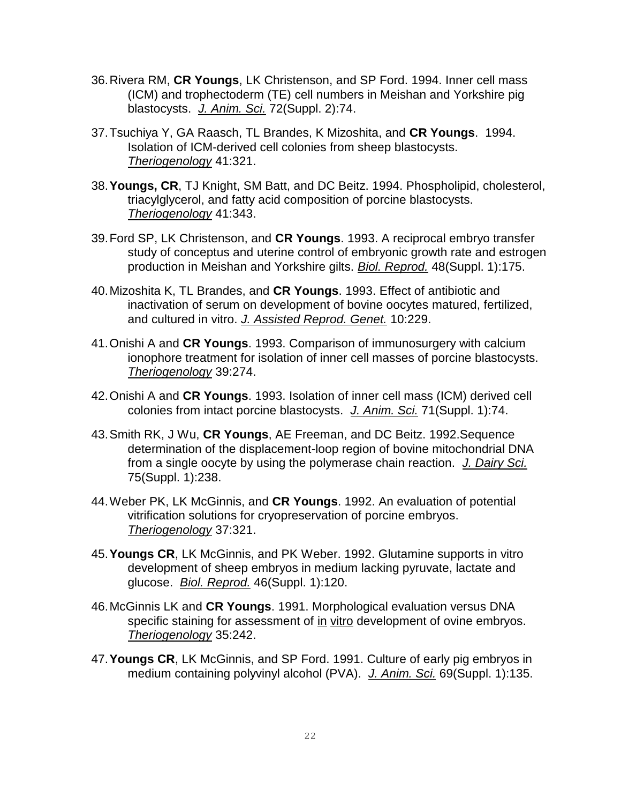- 36.Rivera RM, **CR Youngs**, LK Christenson, and SP Ford. 1994. Inner cell mass (ICM) and trophectoderm (TE) cell numbers in Meishan and Yorkshire pig blastocysts. *J. Anim. Sci.* 72(Suppl. 2):74.
- 37.Tsuchiya Y, GA Raasch, TL Brandes, K Mizoshita, and **CR Youngs**. 1994. Isolation of ICM-derived cell colonies from sheep blastocysts. *Theriogenology* 41:321.
- 38.**Youngs, CR**, TJ Knight, SM Batt, and DC Beitz. 1994. Phospholipid, cholesterol, triacylglycerol, and fatty acid composition of porcine blastocysts. *Theriogenology* 41:343.
- 39.Ford SP, LK Christenson, and **CR Youngs**. 1993. A reciprocal embryo transfer study of conceptus and uterine control of embryonic growth rate and estrogen production in Meishan and Yorkshire gilts. *Biol. Reprod.* 48(Suppl. 1):175.
- 40.Mizoshita K, TL Brandes, and **CR Youngs**. 1993. Effect of antibiotic and inactivation of serum on development of bovine oocytes matured, fertilized, and cultured in vitro. *J. Assisted Reprod. Genet.* 10:229.
- 41.Onishi A and **CR Youngs**. 1993. Comparison of immunosurgery with calcium ionophore treatment for isolation of inner cell masses of porcine blastocysts. *Theriogenology* 39:274.
- 42.Onishi A and **CR Youngs**. 1993. Isolation of inner cell mass (ICM) derived cell colonies from intact porcine blastocysts. *J. Anim. Sci.* 71(Suppl. 1):74.
- 43.Smith RK, J Wu, **CR Youngs**, AE Freeman, and DC Beitz. 1992.Sequence determination of the displacement-loop region of bovine mitochondrial DNA from a single oocyte by using the polymerase chain reaction. *J. Dairy Sci.* 75(Suppl. 1):238.
- 44.Weber PK, LK McGinnis, and **CR Youngs**. 1992. An evaluation of potential vitrification solutions for cryopreservation of porcine embryos. *Theriogenology* 37:321.
- 45.**Youngs CR**, LK McGinnis, and PK Weber. 1992. Glutamine supports in vitro development of sheep embryos in medium lacking pyruvate, lactate and glucose. *Biol. Reprod.* 46(Suppl. 1):120.
- 46.McGinnis LK and **CR Youngs**. 1991. Morphological evaluation versus DNA specific staining for assessment of in vitro development of ovine embryos. *Theriogenology* 35:242.
- 47.**Youngs CR**, LK McGinnis, and SP Ford. 1991. Culture of early pig embryos in medium containing polyvinyl alcohol (PVA). *J. Anim. Sci.* 69(Suppl. 1):135.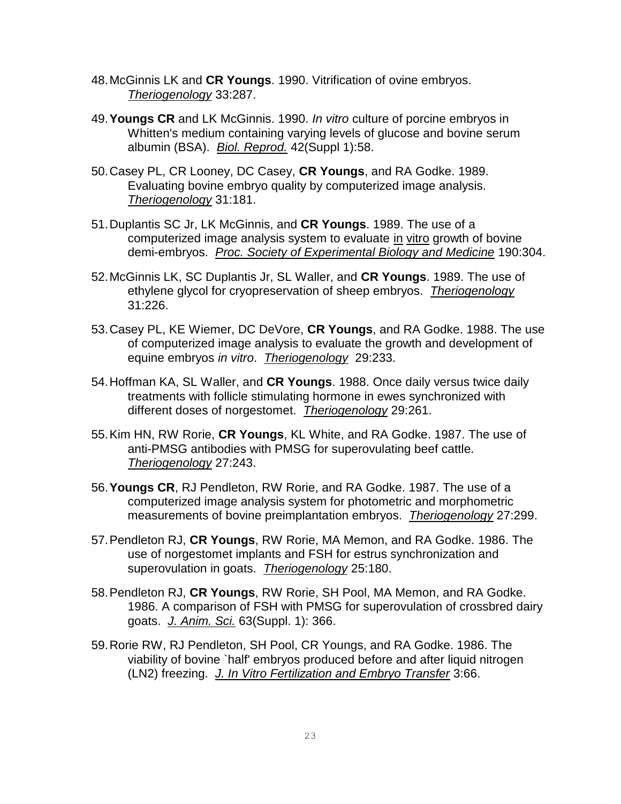- 48.McGinnis LK and **CR Youngs**. 1990. Vitrification of ovine embryos. *Theriogenology* 33:287.
- 49.**Youngs CR** and LK McGinnis. 1990. *In vitro* culture of porcine embryos in Whitten's medium containing varying levels of glucose and bovine serum albumin (BSA). *Biol. Reprod.* 42(Suppl 1):58.
- 50.Casey PL, CR Looney, DC Casey, **CR Youngs**, and RA Godke. 1989. Evaluating bovine embryo quality by computerized image analysis. *Theriogenology* 31:181.
- 51.Duplantis SC Jr, LK McGinnis, and **CR Youngs**. 1989. The use of a computerized image analysis system to evaluate in vitro growth of bovine demi-embryos. *Proc. Society of Experimental Biology and Medicine* 190:304.
- 52.McGinnis LK, SC Duplantis Jr, SL Waller, and **CR Youngs**. 1989. The use of ethylene glycol for cryopreservation of sheep embryos. *Theriogenology* 31:226.
- 53.Casey PL, KE Wiemer, DC DeVore, **CR Youngs**, and RA Godke. 1988. The use of computerized image analysis to evaluate the growth and development of equine embryos *in vitro*. *Theriogenology* 29:233.
- 54.Hoffman KA, SL Waller, and **CR Youngs**. 1988. Once daily versus twice daily treatments with follicle stimulating hormone in ewes synchronized with different doses of norgestomet. *Theriogenology* 29:261.
- 55.Kim HN, RW Rorie, **CR Youngs**, KL White, and RA Godke. 1987. The use of anti-PMSG antibodies with PMSG for superovulating beef cattle. *Theriogenology* 27:243.
- 56.**Youngs CR**, RJ Pendleton, RW Rorie, and RA Godke. 1987. The use of a computerized image analysis system for photometric and morphometric measurements of bovine preimplantation embryos. *Theriogenology* 27:299.
- 57.Pendleton RJ, **CR Youngs**, RW Rorie, MA Memon, and RA Godke. 1986. The use of norgestomet implants and FSH for estrus synchronization and superovulation in goats. *Theriogenology* 25:180.
- 58.Pendleton RJ, **CR Youngs**, RW Rorie, SH Pool, MA Memon, and RA Godke. 1986. A comparison of FSH with PMSG for superovulation of crossbred dairy goats. *J. Anim. Sci.* 63(Suppl. 1): 366.
- 59.Rorie RW, RJ Pendleton, SH Pool, CR Youngs, and RA Godke. 1986. The viability of bovine `half' embryos produced before and after liquid nitrogen (LN2) freezing. *J. In Vitro Fertilization and Embryo Transfer* 3:66.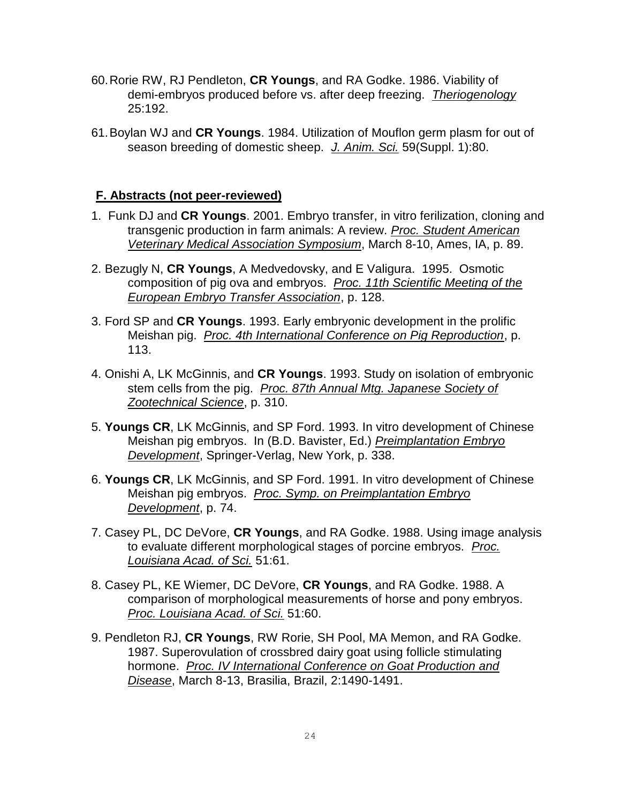- 60.Rorie RW, RJ Pendleton, **CR Youngs**, and RA Godke. 1986. Viability of demi-embryos produced before vs. after deep freezing. *Theriogenology* 25:192.
- 61.Boylan WJ and **CR Youngs**. 1984. Utilization of Mouflon germ plasm for out of season breeding of domestic sheep. *J. Anim. Sci.* 59(Suppl. 1):80.

### **F. Abstracts (not peer-reviewed)**

- 1. Funk DJ and **CR Youngs**. 2001. Embryo transfer, in vitro ferilization, cloning and transgenic production in farm animals: A review. *Proc. Student American Veterinary Medical Association Symposium*, March 8-10, Ames, IA, p. 89.
- 2. Bezugly N, **CR Youngs**, A Medvedovsky, and E Valigura. 1995. Osmotic composition of pig ova and embryos. *Proc. 11th Scientific Meeting of the European Embryo Transfer Association*, p. 128.
- 3. Ford SP and **CR Youngs**. 1993. Early embryonic development in the prolific Meishan pig. *Proc. 4th International Conference on Pig Reproduction*, p. 113.
- 4. Onishi A, LK McGinnis, and **CR Youngs**. 1993. Study on isolation of embryonic stem cells from the pig. *Proc. 87th Annual Mtg. Japanese Society of Zootechnical Science*, p. 310.
- 5. **Youngs CR**, LK McGinnis, and SP Ford. 1993. In vitro development of Chinese Meishan pig embryos. In (B.D. Bavister, Ed.) *Preimplantation Embryo Development*, Springer-Verlag, New York, p. 338.
- 6. **Youngs CR**, LK McGinnis, and SP Ford. 1991. In vitro development of Chinese Meishan pig embryos. *Proc. Symp. on Preimplantation Embryo Development*, p. 74.
- 7. Casey PL, DC DeVore, **CR Youngs**, and RA Godke. 1988. Using image analysis to evaluate different morphological stages of porcine embryos. *Proc. Louisiana Acad. of Sci.* 51:61.
- 8. Casey PL, KE Wiemer, DC DeVore, **CR Youngs**, and RA Godke. 1988. A comparison of morphological measurements of horse and pony embryos. *Proc. Louisiana Acad. of Sci.* 51:60.
- 9. Pendleton RJ, **CR Youngs**, RW Rorie, SH Pool, MA Memon, and RA Godke. 1987. Superovulation of crossbred dairy goat using follicle stimulating hormone. *Proc. IV International Conference on Goat Production and Disease*, March 8-13, Brasilia, Brazil, 2:1490-1491.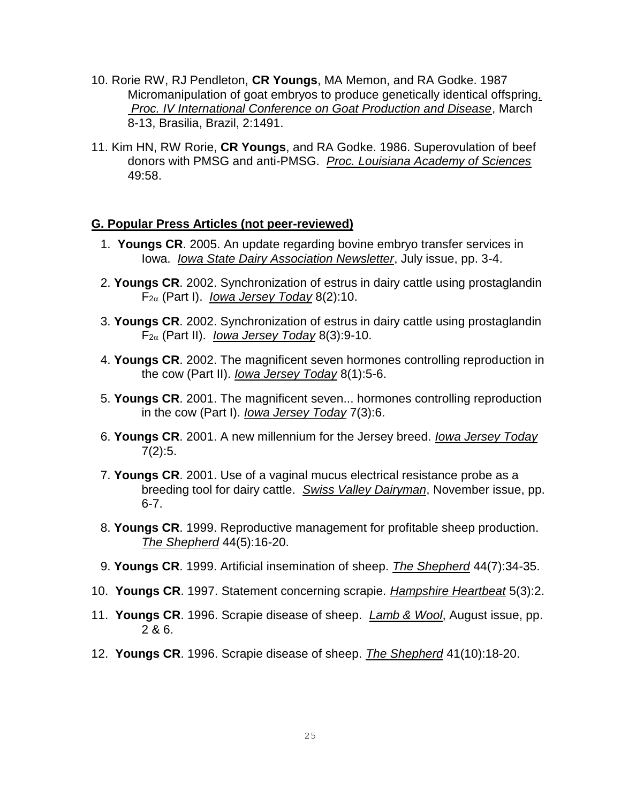- 10. Rorie RW, RJ Pendleton, **CR Youngs**, MA Memon, and RA Godke. 1987 Micromanipulation of goat embryos to produce genetically identical offspring*. Proc. IV International Conference on Goat Production and Disease*, March 8-13, Brasilia, Brazil, 2:1491.
- 11. Kim HN, RW Rorie, **CR Youngs**, and RA Godke. 1986. Superovulation of beef donors with PMSG and anti-PMSG. *Proc. Louisiana Academy of Sciences* 49:58.

### **G. Popular Press Articles (not peer-reviewed)**

- 1. **Youngs CR**. 2005. An update regarding bovine embryo transfer services in Iowa. *Iowa State Dairy Association Newsletter*, July issue, pp. 3-4.
- 2. **Youngs CR**. 2002. Synchronization of estrus in dairy cattle using prostaglandin F2 (Part I). *Iowa Jersey Today* 8(2):10.
- 3. **Youngs CR**. 2002. Synchronization of estrus in dairy cattle using prostaglandin F2 (Part II). *Iowa Jersey Today* 8(3):9-10.
- 4. **Youngs CR**. 2002. The magnificent seven hormones controlling reproduction in the cow (Part II). *Iowa Jersey Today* 8(1):5-6.
- 5. **Youngs CR**. 2001. The magnificent seven... hormones controlling reproduction in the cow (Part I). *Iowa Jersey Today* 7(3):6.
- 6. **Youngs CR**. 2001. A new millennium for the Jersey breed. *Iowa Jersey Today*  $7(2):5.$
- 7. **Youngs CR**. 2001. Use of a vaginal mucus electrical resistance probe as a breeding tool for dairy cattle. *Swiss Valley Dairyman*, November issue, pp. 6-7.
- 8. **Youngs CR**. 1999. Reproductive management for profitable sheep production. *The Shepherd* 44(5):16-20.
- 9. **Youngs CR**. 1999. Artificial insemination of sheep. *The Shepherd* 44(7):34-35.
- 10. **Youngs CR**. 1997. Statement concerning scrapie. *Hampshire Heartbeat* 5(3):2.
- 11. **Youngs CR**. 1996. Scrapie disease of sheep. *Lamb & Wool*, August issue, pp. 2 & 6.
- 12. **Youngs CR**. 1996. Scrapie disease of sheep. *The Shepherd* 41(10):18-20.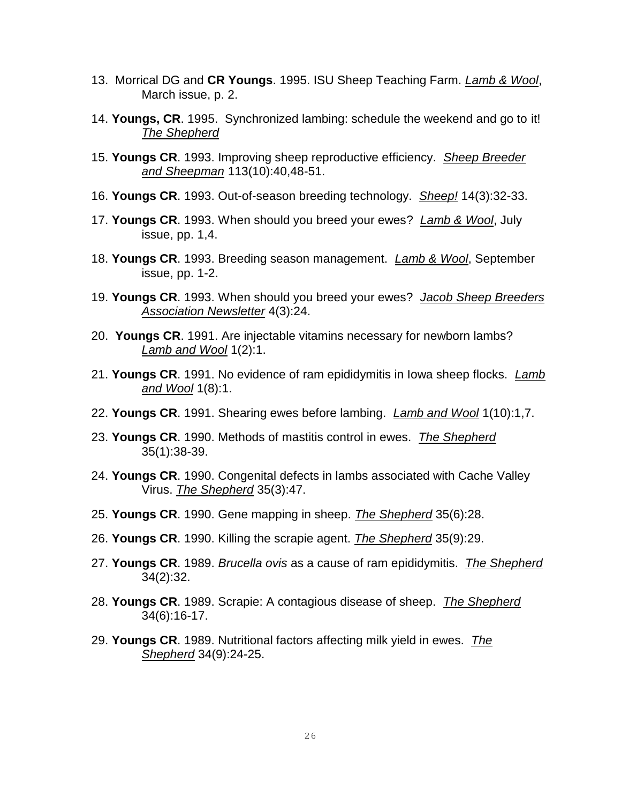- 13. Morrical DG and **CR Youngs**. 1995. ISU Sheep Teaching Farm. *Lamb & Wool*, March issue, p. 2.
- 14. **Youngs, CR**. 1995. Synchronized lambing: schedule the weekend and go to it! *The Shepherd*
- 15. **Youngs CR**. 1993. Improving sheep reproductive efficiency. *Sheep Breeder and Sheepman* 113(10):40,48-51.
- 16. **Youngs CR**. 1993. Out-of-season breeding technology. *Sheep!* 14(3):32-33.
- 17. **Youngs CR**. 1993. When should you breed your ewes? *Lamb & Wool*, July issue, pp. 1,4.
- 18. **Youngs CR**. 1993. Breeding season management. *Lamb & Wool*, September issue, pp. 1-2.
- 19. **Youngs CR**. 1993. When should you breed your ewes? *Jacob Sheep Breeders Association Newsletter* 4(3):24.
- 20. **Youngs CR**. 1991. Are injectable vitamins necessary for newborn lambs? *Lamb and Wool* 1(2):1.
- 21. **Youngs CR**. 1991. No evidence of ram epididymitis in Iowa sheep flocks. *Lamb and Wool* 1(8):1.
- 22. **Youngs CR**. 1991. Shearing ewes before lambing. *Lamb and Wool* 1(10):1,7.
- 23. **Youngs CR**. 1990. Methods of mastitis control in ewes. *The Shepherd* 35(1):38-39.
- 24. **Youngs CR**. 1990. Congenital defects in lambs associated with Cache Valley Virus. *The Shepherd* 35(3):47.
- 25. **Youngs CR**. 1990. Gene mapping in sheep. *The Shepherd* 35(6):28.
- 26. **Youngs CR**. 1990. Killing the scrapie agent. *The Shepherd* 35(9):29.
- 27. **Youngs CR**. 1989. *Brucella ovis* as a cause of ram epididymitis. *The Shepherd* 34(2):32.
- 28. **Youngs CR**. 1989. Scrapie: A contagious disease of sheep. *The Shepherd* 34(6):16-17.
- 29. **Youngs CR**. 1989. Nutritional factors affecting milk yield in ewes. *The Shepherd* 34(9):24-25.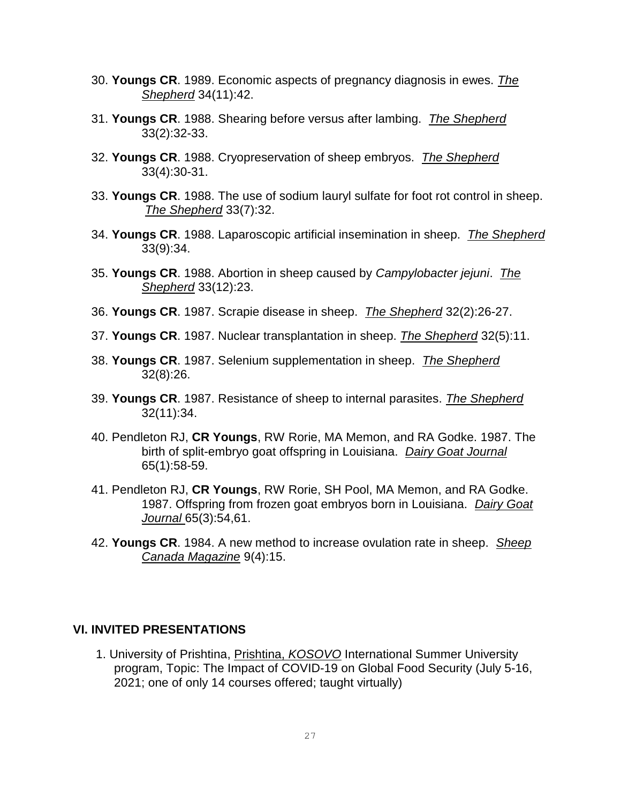- 30. **Youngs CR**. 1989. Economic aspects of pregnancy diagnosis in ewes. *The Shepherd* 34(11):42.
- 31. **Youngs CR**. 1988. Shearing before versus after lambing. *The Shepherd* 33(2):32-33.
- 32. **Youngs CR**. 1988. Cryopreservation of sheep embryos. *The Shepherd* 33(4):30-31.
- 33. **Youngs CR**. 1988. The use of sodium lauryl sulfate for foot rot control in sheep. *The Shepherd* 33(7):32.
- 34. **Youngs CR**. 1988. Laparoscopic artificial insemination in sheep. *The Shepherd* 33(9):34.
- 35. **Youngs CR**. 1988. Abortion in sheep caused by *Campylobacter jejuni*. *The Shepherd* 33(12):23.
- 36. **Youngs CR**. 1987. Scrapie disease in sheep. *The Shepherd* 32(2):26-27.
- 37. **Youngs CR**. 1987. Nuclear transplantation in sheep. *The Shepherd* 32(5):11.
- 38. **Youngs CR**. 1987. Selenium supplementation in sheep. *The Shepherd* 32(8):26.
- 39. **Youngs CR**. 1987. Resistance of sheep to internal parasites. *The Shepherd* 32(11):34.
- 40. Pendleton RJ, **CR Youngs**, RW Rorie, MA Memon, and RA Godke. 1987. The birth of split-embryo goat offspring in Louisiana. *Dairy Goat Journal* 65(1):58-59.
- 41. Pendleton RJ, **CR Youngs**, RW Rorie, SH Pool, MA Memon, and RA Godke. 1987. Offspring from frozen goat embryos born in Louisiana. *Dairy Goat Journal* 65(3):54,61.
- 42. **Youngs CR**. 1984. A new method to increase ovulation rate in sheep. *Sheep Canada Magazine* 9(4):15.

### **VI. INVITED PRESENTATIONS**

1. University of Prishtina, Prishtina, *KOSOVO* International Summer University program, Topic: The Impact of COVID-19 on Global Food Security (July 5-16, 2021; one of only 14 courses offered; taught virtually)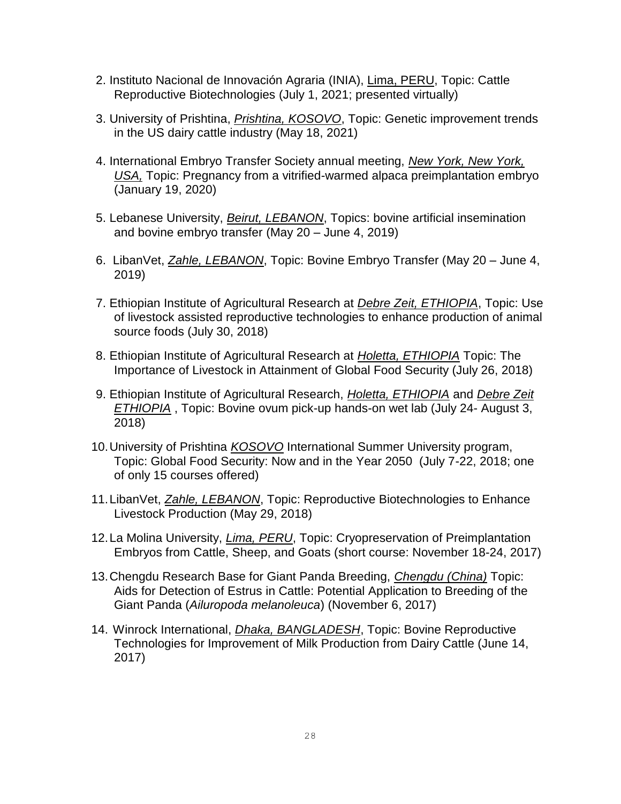- 2. Instituto Nacional de Innovación Agraria (INIA), Lima, PERU, Topic: Cattle Reproductive Biotechnologies (July 1, 2021; presented virtually)
- 3. University of Prishtina, *Prishtina, KOSOVO*, Topic: Genetic improvement trends in the US dairy cattle industry (May 18, 2021)
- 4. International Embryo Transfer Society annual meeting, *New York, New York, USA,* Topic: Pregnancy from a vitrified-warmed alpaca preimplantation embryo (January 19, 2020)
- 5. Lebanese University, *Beirut, LEBANON*, Topics: bovine artificial insemination and bovine embryo transfer (May 20 – June 4, 2019)
- 6. LibanVet, *Zahle, LEBANON*, Topic: Bovine Embryo Transfer (May 20 June 4, 2019)
- 7. Ethiopian Institute of Agricultural Research at *Debre Zeit, ETHIOPIA*, Topic: Use of livestock assisted reproductive technologies to enhance production of animal source foods (July 30, 2018)
- 8. Ethiopian Institute of Agricultural Research at *Holetta, ETHIOPIA* Topic: The Importance of Livestock in Attainment of Global Food Security (July 26, 2018)
- 9. Ethiopian Institute of Agricultural Research, *Holetta, ETHIOPIA* and *Debre Zeit ETHIOPIA* , Topic: Bovine ovum pick-up hands-on wet lab (July 24- August 3, 2018)
- 10.University of Prishtina *KOSOVO* International Summer University program, Topic: Global Food Security: Now and in the Year 2050 (July 7-22, 2018; one of only 15 courses offered)
- 11.LibanVet, *Zahle, LEBANON*, Topic: Reproductive Biotechnologies to Enhance Livestock Production (May 29, 2018)
- 12.La Molina University, *Lima, PERU*, Topic: Cryopreservation of Preimplantation Embryos from Cattle, Sheep, and Goats (short course: November 18-24, 2017)
- 13.Chengdu Research Base for Giant Panda Breeding, *Chengdu (China)* Topic: Aids for Detection of Estrus in Cattle: Potential Application to Breeding of the Giant Panda (*Ailuropoda melanoleuca*) (November 6, 2017)
- 14. Winrock International, *Dhaka, BANGLADESH*, Topic: Bovine Reproductive Technologies for Improvement of Milk Production from Dairy Cattle (June 14, 2017)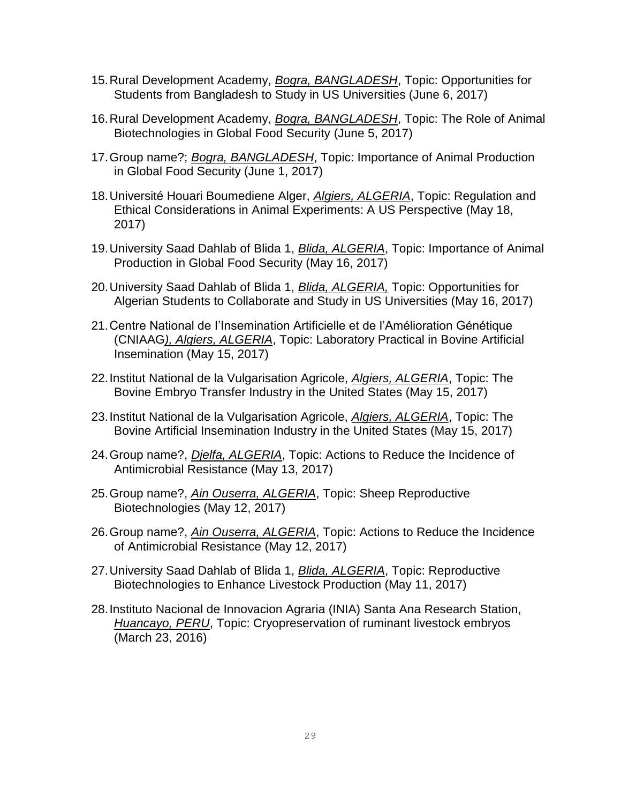- 15.Rural Development Academy, *Bogra, BANGLADESH*, Topic: Opportunities for Students from Bangladesh to Study in US Universities (June 6, 2017)
- 16.Rural Development Academy, *Bogra, BANGLADESH*, Topic: The Role of Animal Biotechnologies in Global Food Security (June 5, 2017)
- 17.Group name?; *Bogra, BANGLADESH*, Topic: Importance of Animal Production in Global Food Security (June 1, 2017)
- 18.Université Houari Boumediene Alger, *Algiers, ALGERIA*, Topic: Regulation and Ethical Considerations in Animal Experiments: A US Perspective (May 18, 2017)
- 19.University Saad Dahlab of Blida 1, *Blida, ALGERIA*, Topic: Importance of Animal Production in Global Food Security (May 16, 2017)
- 20.University Saad Dahlab of Blida 1, *Blida, ALGERIA,* Topic: Opportunities for Algerian Students to Collaborate and Study in US Universities (May 16, 2017)
- 21.Centre National de I'Insemination Artificielle et de l'Amélioration Génétique (CNIAAG*), Algiers, ALGERIA*, Topic: Laboratory Practical in Bovine Artificial Insemination (May 15, 2017)
- 22.Institut National de la Vulgarisation Agricole, *Algiers, ALGERIA*, Topic: The Bovine Embryo Transfer Industry in the United States (May 15, 2017)
- 23.Institut National de la Vulgarisation Agricole, *Algiers, ALGERIA*, Topic: The Bovine Artificial Insemination Industry in the United States (May 15, 2017)
- 24.Group name?, *Djelfa, ALGERIA*, Topic: Actions to Reduce the Incidence of Antimicrobial Resistance (May 13, 2017)
- 25.Group name?, *Ain Ouserra, ALGERIA*, Topic: Sheep Reproductive Biotechnologies (May 12, 2017)
- 26.Group name?, *Ain Ouserra, ALGERIA*, Topic: Actions to Reduce the Incidence of Antimicrobial Resistance (May 12, 2017)
- 27.University Saad Dahlab of Blida 1, *Blida, ALGERIA*, Topic: Reproductive Biotechnologies to Enhance Livestock Production (May 11, 2017)
- 28.Instituto Nacional de Innovacion Agraria (INIA) Santa Ana Research Station, *Huancayo, PERU*, Topic: Cryopreservation of ruminant livestock embryos (March 23, 2016)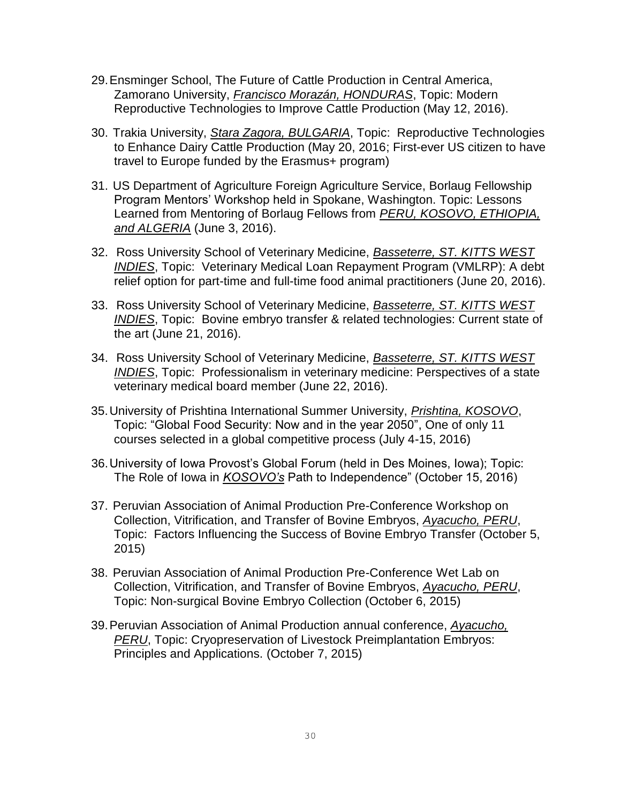- 29.Ensminger School, The Future of Cattle Production in Central America, Zamorano University, *Francisco Morazán, HONDURAS*, Topic: Modern Reproductive Technologies to Improve Cattle Production (May 12, 2016).
- 30. Trakia University, *Stara Zagora, BULGARIA*, Topic: Reproductive Technologies to Enhance Dairy Cattle Production (May 20, 2016; First-ever US citizen to have travel to Europe funded by the Erasmus+ program)
- 31. US Department of Agriculture Foreign Agriculture Service, Borlaug Fellowship Program Mentors' Workshop held in Spokane, Washington. Topic: Lessons Learned from Mentoring of Borlaug Fellows from *PERU, KOSOVO, ETHIOPIA, and ALGERIA* (June 3, 2016).
- 32. Ross University School of Veterinary Medicine, *Basseterre, ST. KITTS WEST INDIES*, Topic: Veterinary Medical Loan Repayment Program (VMLRP): A debt relief option for part-time and full-time food animal practitioners (June 20, 2016).
- 33. Ross University School of Veterinary Medicine, *Basseterre, ST. KITTS WEST INDIES*, Topic: Bovine embryo transfer & related technologies: Current state of the art (June 21, 2016).
- 34. Ross University School of Veterinary Medicine, *Basseterre, ST. KITTS WEST INDIES*, Topic: Professionalism in veterinary medicine: Perspectives of a state veterinary medical board member (June 22, 2016).
- 35.University of Prishtina International Summer University, *Prishtina, KOSOVO*, Topic: "Global Food Security: Now and in the year 2050", One of only 11 courses selected in a global competitive process (July 4-15, 2016)
- 36.University of Iowa Provost's Global Forum (held in Des Moines, Iowa); Topic: The Role of Iowa in *KOSOVO's* Path to Independence" (October 15, 2016)
- 37. Peruvian Association of Animal Production Pre-Conference Workshop on Collection, Vitrification, and Transfer of Bovine Embryos, *Ayacucho, PERU*, Topic: Factors Influencing the Success of Bovine Embryo Transfer (October 5, 2015)
- 38. Peruvian Association of Animal Production Pre-Conference Wet Lab on Collection, Vitrification, and Transfer of Bovine Embryos, *Ayacucho, PERU*, Topic: Non-surgical Bovine Embryo Collection (October 6, 2015)
- 39.Peruvian Association of Animal Production annual conference, *Ayacucho, PERU*, Topic: Cryopreservation of Livestock Preimplantation Embryos: Principles and Applications. (October 7, 2015)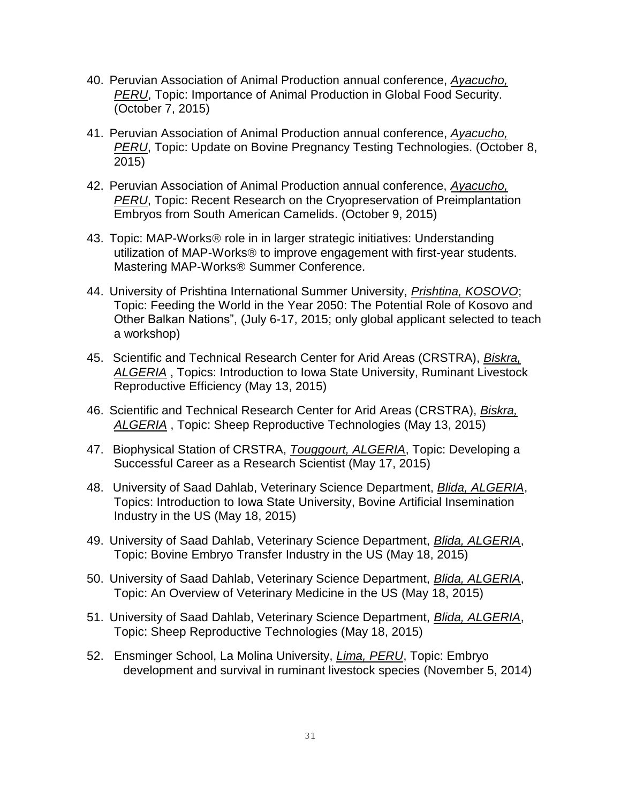- 40. Peruvian Association of Animal Production annual conference, *Ayacucho, PERU*, Topic: Importance of Animal Production in Global Food Security. (October 7, 2015)
- 41. Peruvian Association of Animal Production annual conference, *Ayacucho, PERU*, Topic: Update on Bovine Pregnancy Testing Technologies. (October 8, 2015)
- 42. Peruvian Association of Animal Production annual conference, *Ayacucho, PERU*, Topic: Recent Research on the Cryopreservation of Preimplantation Embryos from South American Camelids. (October 9, 2015)
- 43. Topic: MAP-Works<sup>®</sup> role in in larger strategic initiatives: Understanding utilization of MAP-Works<sup>®</sup> to improve engagement with first-year students. Mastering MAP-Works<sup>®</sup> Summer Conference.
- 44. University of Prishtina International Summer University, *Prishtina, KOSOVO*; Topic: Feeding the World in the Year 2050: The Potential Role of Kosovo and Other Balkan Nations", (July 6-17, 2015; only global applicant selected to teach a workshop)
- 45. Scientific and Technical Research Center for Arid Areas (CRSTRA), *Biskra, ALGERIA* , Topics: Introduction to Iowa State University, Ruminant Livestock Reproductive Efficiency (May 13, 2015)
- 46. Scientific and Technical Research Center for Arid Areas (CRSTRA), *Biskra, ALGERIA* , Topic: Sheep Reproductive Technologies (May 13, 2015)
- 47. Biophysical Station of CRSTRA, *Touggourt, ALGERIA*, Topic: Developing a Successful Career as a Research Scientist (May 17, 2015)
- 48. University of Saad Dahlab, Veterinary Science Department, *Blida, ALGERIA*, Topics: Introduction to Iowa State University, Bovine Artificial Insemination Industry in the US (May 18, 2015)
- 49. University of Saad Dahlab, Veterinary Science Department, *Blida, ALGERIA*, Topic: Bovine Embryo Transfer Industry in the US (May 18, 2015)
- 50. University of Saad Dahlab, Veterinary Science Department, *Blida, ALGERIA*, Topic: An Overview of Veterinary Medicine in the US (May 18, 2015)
- 51. University of Saad Dahlab, Veterinary Science Department, *Blida, ALGERIA*, Topic: Sheep Reproductive Technologies (May 18, 2015)
- 52. Ensminger School, La Molina University, *Lima, PERU*, Topic: Embryo development and survival in ruminant livestock species (November 5, 2014)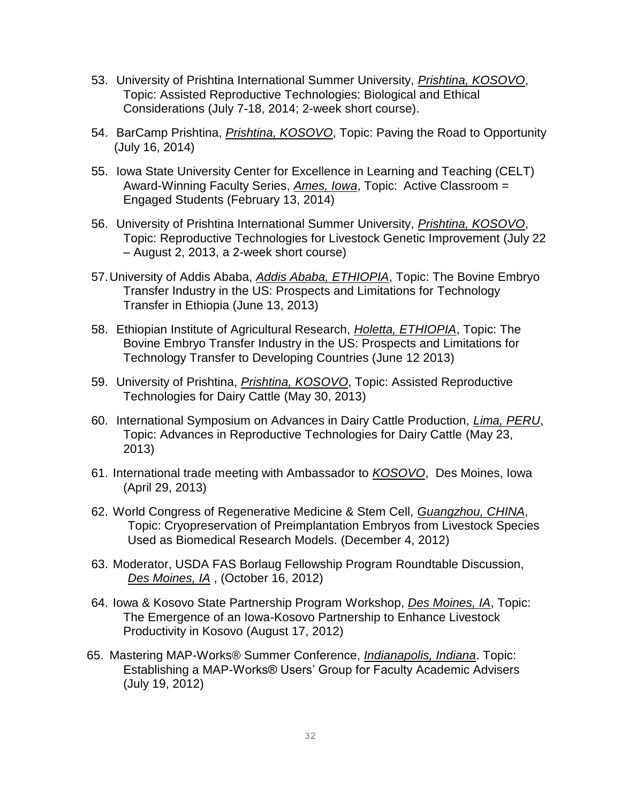- 53. University of Prishtina International Summer University, *Prishtina, KOSOVO*, Topic: Assisted Reproductive Technologies: Biological and Ethical Considerations (July 7-18, 2014; 2-week short course).
- 54. BarCamp Prishtina, *Prishtina, KOSOVO*, Topic: Paving the Road to Opportunity (July 16, 2014)
- 55. Iowa State University Center for Excellence in Learning and Teaching (CELT) Award-Winning Faculty Series, *Ames, Iowa*, Topic: Active Classroom = Engaged Students (February 13, 2014)
- 56. University of Prishtina International Summer University, *Prishtina, KOSOVO*, Topic: Reproductive Technologies for Livestock Genetic Improvement (July 22 – August 2, 2013, a 2-week short course)
- 57.University of Addis Ababa, *Addis Ababa, ETHIOPIA*, Topic: The Bovine Embryo Transfer Industry in the US: Prospects and Limitations for Technology Transfer in Ethiopia (June 13, 2013)
- 58. Ethiopian Institute of Agricultural Research, *Holetta, ETHIOPIA*, Topic: The Bovine Embryo Transfer Industry in the US: Prospects and Limitations for Technology Transfer to Developing Countries (June 12 2013)
- 59. University of Prishtina, *Prishtina, KOSOVO*, Topic: Assisted Reproductive Technologies for Dairy Cattle (May 30, 2013)
- 60. International Symposium on Advances in Dairy Cattle Production, *Lima, PERU*, Topic: Advances in Reproductive Technologies for Dairy Cattle (May 23, 2013)
- 61. International trade meeting with Ambassador to *KOSOVO*, Des Moines, Iowa (April 29, 2013)
- 62. World Congress of Regenerative Medicine & Stem Cell, *Guangzhou, CHINA*, Topic: Cryopreservation of Preimplantation Embryos from Livestock Species Used as Biomedical Research Models. (December 4, 2012)
- 63. Moderator, USDA FAS Borlaug Fellowship Program Roundtable Discussion, *Des Moines, IA* , (October 16, 2012)
- 64. Iowa & Kosovo State Partnership Program Workshop, *Des Moines, IA*, Topic: The Emergence of an Iowa-Kosovo Partnership to Enhance Livestock Productivity in Kosovo (August 17, 2012)
- 65. Mastering MAP-Works® Summer Conference, *Indianapolis, Indiana*. Topic: Establishing a MAP-Works® Users' Group for Faculty Academic Advisers (July 19, 2012)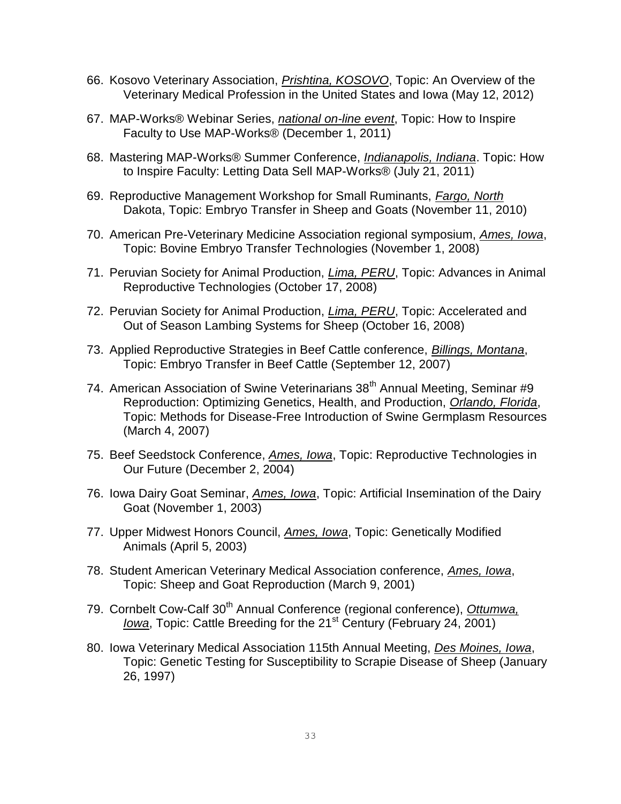- 66. Kosovo Veterinary Association, *Prishtina, KOSOVO*, Topic: An Overview of the Veterinary Medical Profession in the United States and Iowa (May 12, 2012)
- 67. MAP-Works® Webinar Series, *national on-line event*, Topic: How to Inspire Faculty to Use MAP-Works® (December 1, 2011)
- 68. Mastering MAP-Works® Summer Conference, *Indianapolis, Indiana*. Topic: How to Inspire Faculty: Letting Data Sell MAP-Works® (July 21, 2011)
- 69. Reproductive Management Workshop for Small Ruminants, *Fargo, North*  Dakota, Topic: Embryo Transfer in Sheep and Goats (November 11, 2010)
- 70. American Pre-Veterinary Medicine Association regional symposium, *Ames, Iowa*, Topic: Bovine Embryo Transfer Technologies (November 1, 2008)
- 71. Peruvian Society for Animal Production, *Lima, PERU*, Topic: Advances in Animal Reproductive Technologies (October 17, 2008)
- 72. Peruvian Society for Animal Production, *Lima, PERU*, Topic: Accelerated and Out of Season Lambing Systems for Sheep (October 16, 2008)
- 73. Applied Reproductive Strategies in Beef Cattle conference, *Billings, Montana*, Topic: Embryo Transfer in Beef Cattle (September 12, 2007)
- 74. American Association of Swine Veterinarians 38<sup>th</sup> Annual Meeting, Seminar #9 Reproduction: Optimizing Genetics, Health, and Production, *Orlando, Florida*, Topic: Methods for Disease-Free Introduction of Swine Germplasm Resources (March 4, 2007)
- 75. Beef Seedstock Conference, *Ames, Iowa*, Topic: Reproductive Technologies in Our Future (December 2, 2004)
- 76. Iowa Dairy Goat Seminar, *Ames, Iowa*, Topic: Artificial Insemination of the Dairy Goat (November 1, 2003)
- 77. Upper Midwest Honors Council, *Ames, Iowa*, Topic: Genetically Modified Animals (April 5, 2003)
- 78. Student American Veterinary Medical Association conference, *Ames, Iowa*, Topic: Sheep and Goat Reproduction (March 9, 2001)
- 79. Cornbelt Cow-Calf 30<sup>th</sup> Annual Conference (regional conference), Ottumwa, *Iowa*, Topic: Cattle Breeding for the 21<sup>st</sup> Century (February 24, 2001)
- 80. Iowa Veterinary Medical Association 115th Annual Meeting, *Des Moines, Iowa*, Topic: Genetic Testing for Susceptibility to Scrapie Disease of Sheep (January 26, 1997)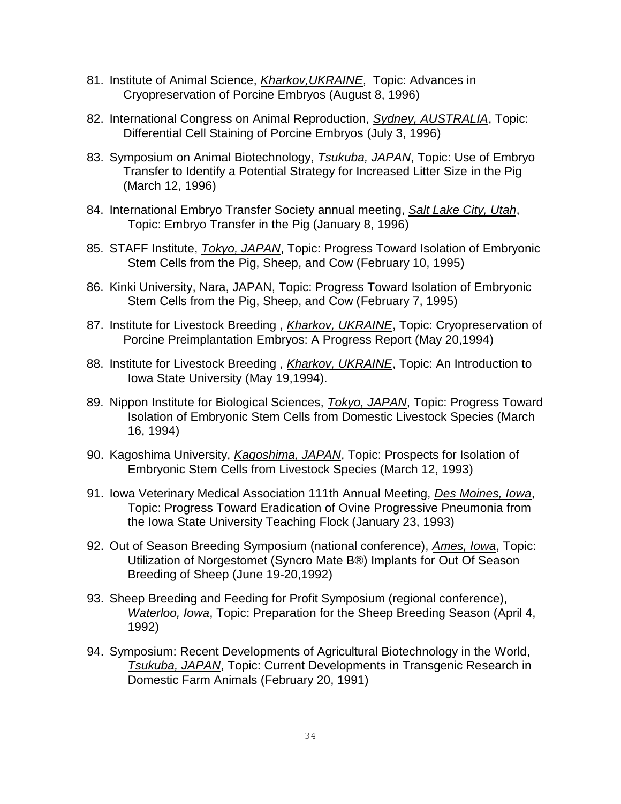- 81. Institute of Animal Science, *Kharkov,UKRAINE*, Topic: Advances in Cryopreservation of Porcine Embryos (August 8, 1996)
- 82. International Congress on Animal Reproduction, *Sydney, AUSTRALIA*, Topic: Differential Cell Staining of Porcine Embryos (July 3, 1996)
- 83. Symposium on Animal Biotechnology, *Tsukuba, JAPAN*, Topic: Use of Embryo Transfer to Identify a Potential Strategy for Increased Litter Size in the Pig (March 12, 1996)
- 84. International Embryo Transfer Society annual meeting, *Salt Lake City, Utah*, Topic: Embryo Transfer in the Pig (January 8, 1996)
- 85. STAFF Institute, *Tokyo, JAPAN*, Topic: Progress Toward Isolation of Embryonic Stem Cells from the Pig, Sheep, and Cow (February 10, 1995)
- 86. Kinki University, Nara, JAPAN, Topic: Progress Toward Isolation of Embryonic Stem Cells from the Pig, Sheep, and Cow (February 7, 1995)
- 87. Institute for Livestock Breeding , *Kharkov, UKRAINE*, Topic: Cryopreservation of Porcine Preimplantation Embryos: A Progress Report (May 20,1994)
- 88. Institute for Livestock Breeding , *Kharkov, UKRAINE*, Topic: An Introduction to Iowa State University (May 19,1994).
- 89. Nippon Institute for Biological Sciences, *Tokyo, JAPAN*, Topic: Progress Toward Isolation of Embryonic Stem Cells from Domestic Livestock Species (March 16, 1994)
- 90. Kagoshima University, *Kagoshima, JAPAN*, Topic: Prospects for Isolation of Embryonic Stem Cells from Livestock Species (March 12, 1993)
- 91. Iowa Veterinary Medical Association 111th Annual Meeting, *Des Moines, Iowa*, Topic: Progress Toward Eradication of Ovine Progressive Pneumonia from the Iowa State University Teaching Flock (January 23, 1993)
- 92. Out of Season Breeding Symposium (national conference), *Ames, Iowa*, Topic: Utilization of Norgestomet (Syncro Mate B®) Implants for Out Of Season Breeding of Sheep (June 19-20,1992)
- 93. Sheep Breeding and Feeding for Profit Symposium (regional conference), *Waterloo, Iowa*, Topic: Preparation for the Sheep Breeding Season (April 4, 1992)
- 94. Symposium: Recent Developments of Agricultural Biotechnology in the World, *Tsukuba, JAPAN*, Topic: Current Developments in Transgenic Research in Domestic Farm Animals (February 20, 1991)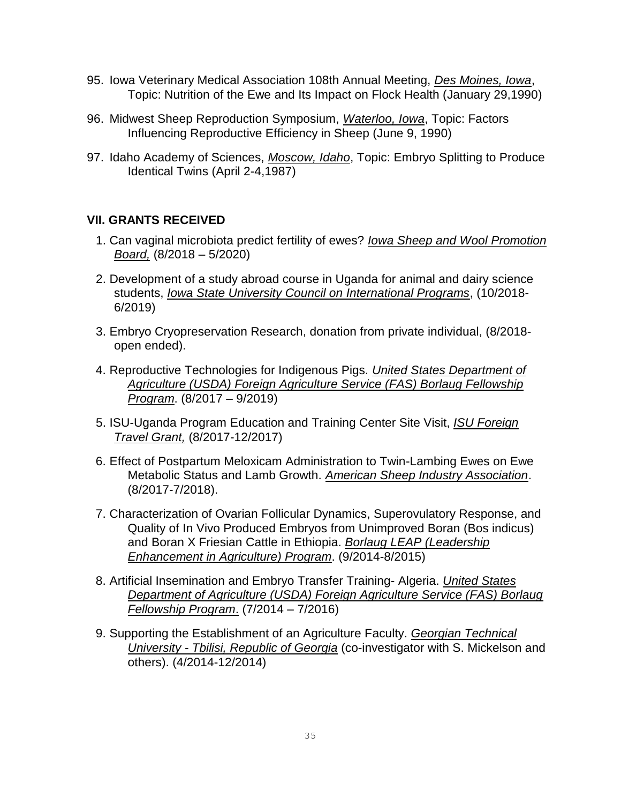- 95. Iowa Veterinary Medical Association 108th Annual Meeting, *Des Moines, Iowa*, Topic: Nutrition of the Ewe and Its Impact on Flock Health (January 29,1990)
- 96. Midwest Sheep Reproduction Symposium, *Waterloo, Iowa*, Topic: Factors Influencing Reproductive Efficiency in Sheep (June 9, 1990)
- 97. Idaho Academy of Sciences, *Moscow, Idaho*, Topic: Embryo Splitting to Produce Identical Twins (April 2-4,1987)

## **VII. GRANTS RECEIVED**

- 1. Can vaginal microbiota predict fertility of ewes? *Iowa Sheep and Wool Promotion Board,* (8/2018 – 5/2020)
- 2. Development of a study abroad course in Uganda for animal and dairy science students, *Iowa State University Council on International Programs*, (10/2018- 6/2019)
- 3. Embryo Cryopreservation Research, donation from private individual, (8/2018 open ended).
- 4. Reproductive Technologies for Indigenous Pigs. *United States Department of Agriculture (USDA) Foreign Agriculture Service (FAS) Borlaug Fellowship Program*. (8/2017 – 9/2019)
- 5. ISU-Uganda Program Education and Training Center Site Visit, *ISU Foreign Travel Grant,* (8/2017-12/2017)
- 6. Effect of Postpartum Meloxicam Administration to Twin-Lambing Ewes on Ewe Metabolic Status and Lamb Growth. *American Sheep Industry Association*. (8/2017-7/2018).
- 7. Characterization of Ovarian Follicular Dynamics, Superovulatory Response, and Quality of In Vivo Produced Embryos from Unimproved Boran (Bos indicus) and Boran X Friesian Cattle in Ethiopia. *Borlaug LEAP (Leadership Enhancement in Agriculture) Program*. (9/2014-8/2015)
- 8. Artificial Insemination and Embryo Transfer Training- Algeria. *United States Department of Agriculture (USDA) Foreign Agriculture Service (FAS) Borlaug Fellowship Program*. (7/2014 – 7/2016)
- 9. Supporting the Establishment of an Agriculture Faculty. *Georgian Technical University - Tbilisi, Republic of Georgia* (co-investigator with S. Mickelson and others). (4/2014-12/2014)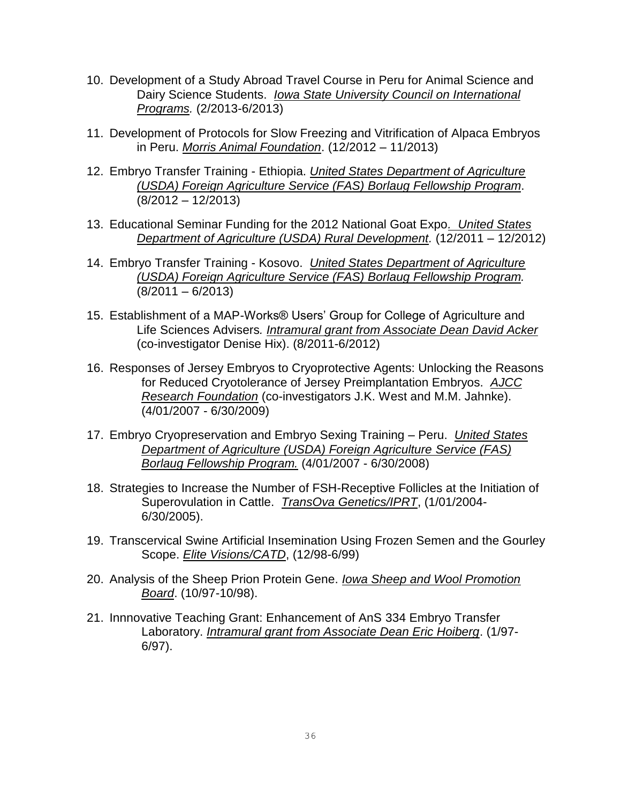- 10. Development of a Study Abroad Travel Course in Peru for Animal Science and Dairy Science Students. *Iowa State University Council on International Programs.* (2/2013-6/2013)
- 11. Development of Protocols for Slow Freezing and Vitrification of Alpaca Embryos in Peru. *Morris Animal Foundation*. (12/2012 – 11/2013)
- 12. Embryo Transfer Training Ethiopia. *United States Department of Agriculture (USDA) Foreign Agriculture Service (FAS) Borlaug Fellowship Program*.  $(8/2012 - 12/2013)$
- 13. Educational Seminar Funding for the 2012 National Goat Expo*. United States Department of Agriculture (USDA) Rural Development.* (12/2011 – 12/2012)
- 14. Embryo Transfer Training Kosovo. *United States Department of Agriculture (USDA) Foreign Agriculture Service (FAS) Borlaug Fellowship Program.*  $(8/2011 - 6/2013)$
- 15. Establishment of a MAP-Works® Users' Group for College of Agriculture and Life Sciences Advisers*. Intramural grant from Associate Dean David Acker* (co-investigator Denise Hix). (8/2011-6/2012)
- 16. Responses of Jersey Embryos to Cryoprotective Agents: Unlocking the Reasons for Reduced Cryotolerance of Jersey Preimplantation Embryos. *AJCC Research Foundation* (co-investigators J.K. West and M.M. Jahnke). (4/01/2007 - 6/30/2009)
- 17. Embryo Cryopreservation and Embryo Sexing Training Peru. *United States Department of Agriculture (USDA) Foreign Agriculture Service (FAS) Borlaug Fellowship Program.* (4/01/2007 - 6/30/2008)
- 18. Strategies to Increase the Number of FSH-Receptive Follicles at the Initiation of Superovulation in Cattle. *TransOva Genetics/IPRT*, (1/01/2004- 6/30/2005).
- 19. Transcervical Swine Artificial Insemination Using Frozen Semen and the Gourley Scope. *Elite Visions/CATD*, (12/98-6/99)
- 20. Analysis of the Sheep Prion Protein Gene. *Iowa Sheep and Wool Promotion Board*. (10/97-10/98).
- 21. Innnovative Teaching Grant: Enhancement of AnS 334 Embryo Transfer Laboratory. *Intramural grant from Associate Dean Eric Hoiberg*. (1/97- 6/97).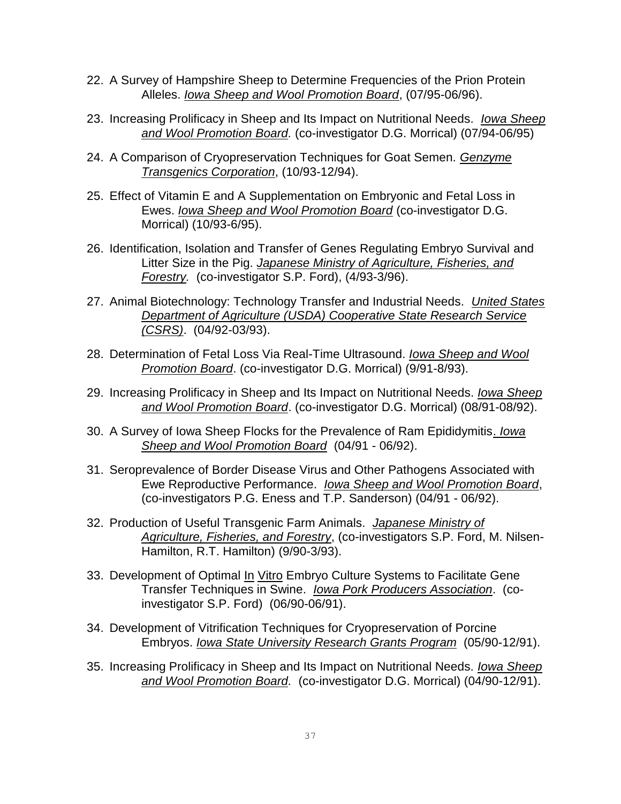- 22. A Survey of Hampshire Sheep to Determine Frequencies of the Prion Protein Alleles. *Iowa Sheep and Wool Promotion Board*, (07/95-06/96).
- 23. Increasing Prolificacy in Sheep and Its Impact on Nutritional Needs. *Iowa Sheep and Wool Promotion Board.* (co-investigator D.G. Morrical) (07/94-06/95)
- 24. A Comparison of Cryopreservation Techniques for Goat Semen. *Genzyme Transgenics Corporation*, (10/93-12/94).
- 25. Effect of Vitamin E and A Supplementation on Embryonic and Fetal Loss in Ewes. *Iowa Sheep and Wool Promotion Board* (co-investigator D.G. Morrical) (10/93-6/95).
- 26. Identification, Isolation and Transfer of Genes Regulating Embryo Survival and Litter Size in the Pig. *Japanese Ministry of Agriculture, Fisheries, and Forestry.* (co-investigator S.P. Ford), (4/93-3/96).
- 27. Animal Biotechnology: Technology Transfer and Industrial Needs. *United States Department of Agriculture (USDA) Cooperative State Research Service (CSRS)*. (04/92-03/93).
- 28. Determination of Fetal Loss Via Real-Time Ultrasound. *Iowa Sheep and Wool Promotion Board*. (co-investigator D.G. Morrical) (9/91-8/93).
- 29. Increasing Prolificacy in Sheep and Its Impact on Nutritional Needs. *Iowa Sheep and Wool Promotion Board*. (co-investigator D.G. Morrical) (08/91-08/92).
- 30. A Survey of Iowa Sheep Flocks for the Prevalence of Ram Epididymitis. *Iowa Sheep and Wool Promotion Board* (04/91 - 06/92).
- 31. Seroprevalence of Border Disease Virus and Other Pathogens Associated with Ewe Reproductive Performance. *Iowa Sheep and Wool Promotion Board*, (co-investigators P.G. Eness and T.P. Sanderson) (04/91 - 06/92).
- 32. Production of Useful Transgenic Farm Animals. *Japanese Ministry of Agriculture, Fisheries, and Forestry*, (co-investigators S.P. Ford, M. Nilsen-Hamilton, R.T. Hamilton) (9/90-3/93).
- 33. Development of Optimal In Vitro Embryo Culture Systems to Facilitate Gene Transfer Techniques in Swine. *Iowa Pork Producers Association*. (coinvestigator S.P. Ford) (06/90-06/91).
- 34. Development of Vitrification Techniques for Cryopreservation of Porcine Embryos. *Iowa State University Research Grants Program* (05/90-12/91).
- 35. Increasing Prolificacy in Sheep and Its Impact on Nutritional Needs. *Iowa Sheep and Wool Promotion Board.* (co-investigator D.G. Morrical) (04/90-12/91).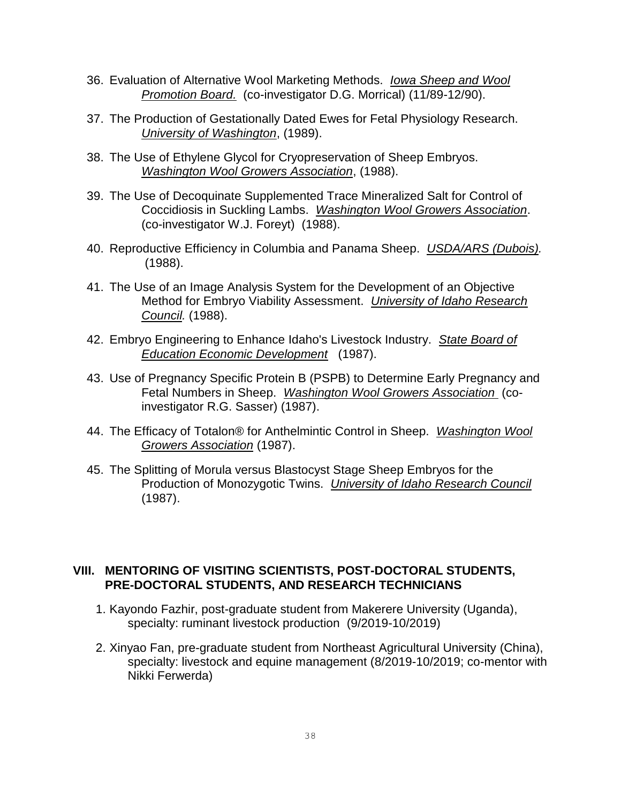- 36. Evaluation of Alternative Wool Marketing Methods. *Iowa Sheep and Wool Promotion Board.* (co-investigator D.G. Morrical) (11/89-12/90).
- 37. The Production of Gestationally Dated Ewes for Fetal Physiology Research. *University of Washington*, (1989).
- 38. The Use of Ethylene Glycol for Cryopreservation of Sheep Embryos. *Washington Wool Growers Association*, (1988).
- 39. The Use of Decoquinate Supplemented Trace Mineralized Salt for Control of Coccidiosis in Suckling Lambs. *Washington Wool Growers Association*. (co-investigator W.J. Foreyt) (1988).
- 40. Reproductive Efficiency in Columbia and Panama Sheep. *USDA/ARS (Dubois).* (1988).
- 41. The Use of an Image Analysis System for the Development of an Objective Method for Embryo Viability Assessment. *University of Idaho Research Council.* (1988).
- 42. Embryo Engineering to Enhance Idaho's Livestock Industry. *State Board of Education Economic Development* (1987).
- 43. Use of Pregnancy Specific Protein B (PSPB) to Determine Early Pregnancy and Fetal Numbers in Sheep. *Washington Wool Growers Association* (coinvestigator R.G. Sasser) (1987).
- 44. The Efficacy of Totalon® for Anthelmintic Control in Sheep. *Washington Wool Growers Association* (1987).
- 45. The Splitting of Morula versus Blastocyst Stage Sheep Embryos for the Production of Monozygotic Twins. *University of Idaho Research Council* (1987).

## **VIII. MENTORING OF VISITING SCIENTISTS, POST-DOCTORAL STUDENTS, PRE-DOCTORAL STUDENTS, AND RESEARCH TECHNICIANS**

- 1. Kayondo Fazhir, post-graduate student from Makerere University (Uganda), specialty: ruminant livestock production (9/2019-10/2019)
- 2. Xinyao Fan, pre-graduate student from Northeast Agricultural University (China), specialty: livestock and equine management (8/2019-10/2019; co-mentor with Nikki Ferwerda)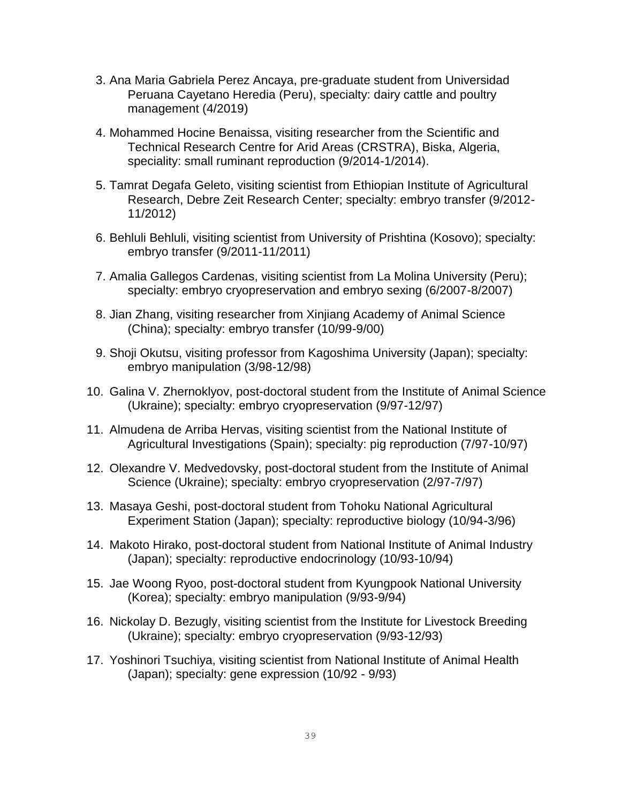- 3. Ana Maria Gabriela Perez Ancaya, pre-graduate student from Universidad Peruana Cayetano Heredia (Peru), specialty: dairy cattle and poultry management (4/2019)
- 4. Mohammed Hocine Benaissa, visiting researcher from the Scientific and Technical Research Centre for Arid Areas (CRSTRA), Biska, Algeria, speciality: small ruminant reproduction (9/2014-1/2014).
- 5. Tamrat Degafa Geleto, visiting scientist from Ethiopian Institute of Agricultural Research, Debre Zeit Research Center; specialty: embryo transfer (9/2012- 11/2012)
- 6. Behluli Behluli, visiting scientist from University of Prishtina (Kosovo); specialty: embryo transfer (9/2011-11/2011)
- 7. Amalia Gallegos Cardenas, visiting scientist from La Molina University (Peru); specialty: embryo cryopreservation and embryo sexing (6/2007-8/2007)
- 8. Jian Zhang, visiting researcher from Xinjiang Academy of Animal Science (China); specialty: embryo transfer (10/99-9/00)
- 9. Shoji Okutsu, visiting professor from Kagoshima University (Japan); specialty: embryo manipulation (3/98-12/98)
- 10. Galina V. Zhernoklyov, post-doctoral student from the Institute of Animal Science (Ukraine); specialty: embryo cryopreservation (9/97-12/97)
- 11. Almudena de Arriba Hervas, visiting scientist from the National Institute of Agricultural Investigations (Spain); specialty: pig reproduction (7/97-10/97)
- 12. Olexandre V. Medvedovsky, post-doctoral student from the Institute of Animal Science (Ukraine); specialty: embryo cryopreservation (2/97-7/97)
- 13. Masaya Geshi, post-doctoral student from Tohoku National Agricultural Experiment Station (Japan); specialty: reproductive biology (10/94-3/96)
- 14. Makoto Hirako, post-doctoral student from National Institute of Animal Industry (Japan); specialty: reproductive endocrinology (10/93-10/94)
- 15. Jae Woong Ryoo, post-doctoral student from Kyungpook National University (Korea); specialty: embryo manipulation (9/93-9/94)
- 16. Nickolay D. Bezugly, visiting scientist from the Institute for Livestock Breeding (Ukraine); specialty: embryo cryopreservation (9/93-12/93)
- 17. Yoshinori Tsuchiya, visiting scientist from National Institute of Animal Health (Japan); specialty: gene expression (10/92 - 9/93)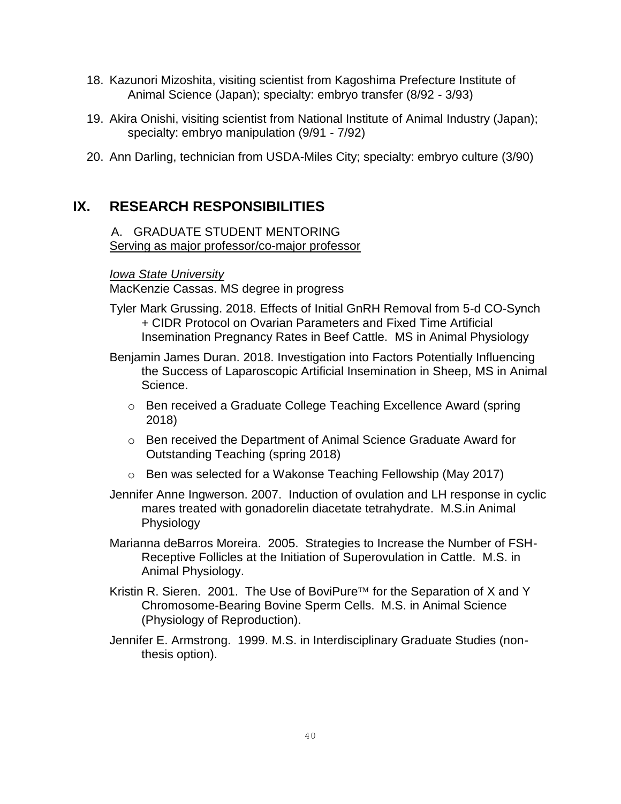- 18. Kazunori Mizoshita, visiting scientist from Kagoshima Prefecture Institute of Animal Science (Japan); specialty: embryo transfer (8/92 - 3/93)
- 19. Akira Onishi, visiting scientist from National Institute of Animal Industry (Japan); specialty: embryo manipulation (9/91 - 7/92)
- 20. Ann Darling, technician from USDA-Miles City; specialty: embryo culture (3/90)

## **IX. RESEARCH RESPONSIBILITIES**

A. GRADUATE STUDENT MENTORING Serving as major professor/co-major professor

*Iowa State University*

MacKenzie Cassas. MS degree in progress

- Tyler Mark Grussing. 2018. Effects of Initial GnRH Removal from 5-d CO-Synch + CIDR Protocol on Ovarian Parameters and Fixed Time Artificial Insemination Pregnancy Rates in Beef Cattle. MS in Animal Physiology
- Benjamin James Duran. 2018. Investigation into Factors Potentially Influencing the Success of Laparoscopic Artificial Insemination in Sheep, MS in Animal Science.
	- o Ben received a Graduate College Teaching Excellence Award (spring 2018)
	- o Ben received the Department of Animal Science Graduate Award for Outstanding Teaching (spring 2018)
	- o Ben was selected for a Wakonse Teaching Fellowship (May 2017)
- Jennifer Anne Ingwerson. 2007. Induction of ovulation and LH response in cyclic mares treated with gonadorelin diacetate tetrahydrate. M.S.in Animal Physiology
- Marianna deBarros Moreira. 2005. Strategies to Increase the Number of FSH-Receptive Follicles at the Initiation of Superovulation in Cattle. M.S. in Animal Physiology.
- Kristin R. Sieren. 2001. The Use of BoviPure™ for the Separation of X and Y Chromosome-Bearing Bovine Sperm Cells. M.S. in Animal Science (Physiology of Reproduction).
- Jennifer E. Armstrong. 1999. M.S. in Interdisciplinary Graduate Studies (nonthesis option).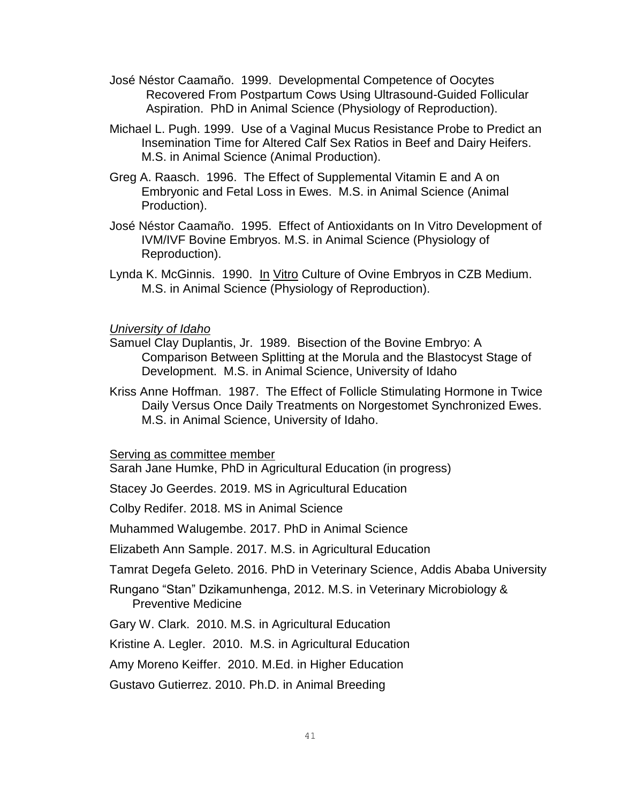- José Néstor Caamaño. 1999. Developmental Competence of Oocytes Recovered From Postpartum Cows Using Ultrasound-Guided Follicular Aspiration. PhD in Animal Science (Physiology of Reproduction).
- Michael L. Pugh. 1999. Use of a Vaginal Mucus Resistance Probe to Predict an Insemination Time for Altered Calf Sex Ratios in Beef and Dairy Heifers. M.S. in Animal Science (Animal Production).
- Greg A. Raasch. 1996. The Effect of Supplemental Vitamin E and A on Embryonic and Fetal Loss in Ewes. M.S. in Animal Science (Animal Production).
- José Néstor Caamaño. 1995. Effect of Antioxidants on In Vitro Development of IVM/IVF Bovine Embryos. M.S. in Animal Science (Physiology of Reproduction).
- Lynda K. McGinnis. 1990. In Vitro Culture of Ovine Embryos in CZB Medium. M.S. in Animal Science (Physiology of Reproduction).

### *University of Idaho*

- Samuel Clay Duplantis, Jr. 1989. Bisection of the Bovine Embryo: A Comparison Between Splitting at the Morula and the Blastocyst Stage of Development. M.S. in Animal Science, University of Idaho
- Kriss Anne Hoffman. 1987. The Effect of Follicle Stimulating Hormone in Twice Daily Versus Once Daily Treatments on Norgestomet Synchronized Ewes. M.S. in Animal Science, University of Idaho.

Serving as committee member

Sarah Jane Humke, PhD in Agricultural Education (in progress)

Stacey Jo Geerdes. 2019. MS in Agricultural Education

Colby Redifer. 2018. MS in Animal Science

Muhammed Walugembe. 2017. PhD in Animal Science

Elizabeth Ann Sample. 2017. M.S. in Agricultural Education

Tamrat Degefa Geleto. 2016. PhD in Veterinary Science, Addis Ababa University

Rungano "Stan" Dzikamunhenga, 2012. M.S. in Veterinary Microbiology & Preventive Medicine

Gary W. Clark. 2010. M.S. in Agricultural Education

Kristine A. Legler. 2010. M.S. in Agricultural Education

Amy Moreno Keiffer. 2010. M.Ed. in Higher Education

Gustavo Gutierrez. 2010. Ph.D. in Animal Breeding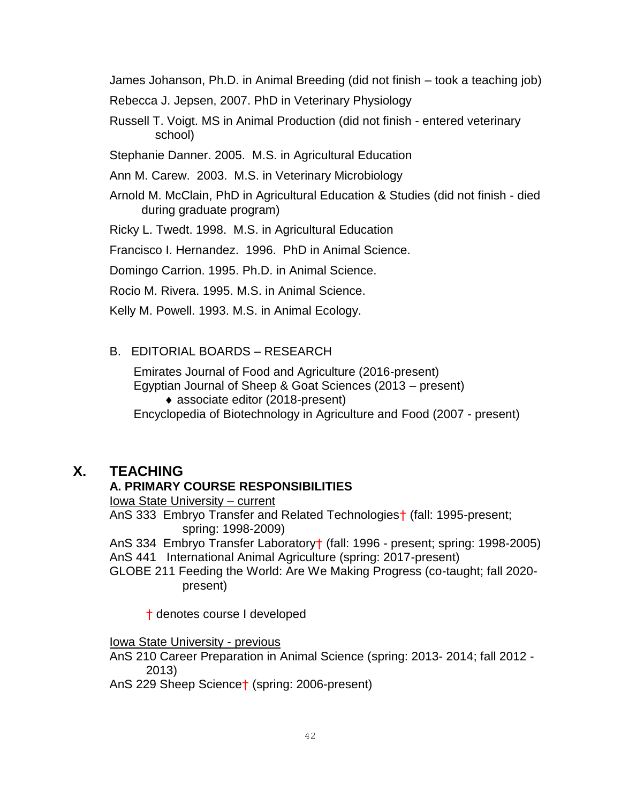James Johanson, Ph.D. in Animal Breeding (did not finish – took a teaching job)

Rebecca J. Jepsen, 2007. PhD in Veterinary Physiology

Russell T. Voigt. MS in Animal Production (did not finish - entered veterinary school)

Stephanie Danner. 2005. M.S. in Agricultural Education

Ann M. Carew. 2003. M.S. in Veterinary Microbiology

Arnold M. McClain, PhD in Agricultural Education & Studies (did not finish - died during graduate program)

Ricky L. Twedt. 1998. M.S. in Agricultural Education

Francisco I. Hernandez. 1996. PhD in Animal Science.

Domingo Carrion. 1995. Ph.D. in Animal Science.

Rocio M. Rivera. 1995. M.S. in Animal Science.

Kelly M. Powell. 1993. M.S. in Animal Ecology.

## B. EDITORIAL BOARDS – RESEARCH

Emirates Journal of Food and Agriculture (2016-present) Egyptian Journal of Sheep & Goat Sciences (2013 – present) ◆ associate editor (2018-present) Encyclopedia of Biotechnology in Agriculture and Food (2007 - present)

# **X. TEACHING**

## **A. PRIMARY COURSE RESPONSIBILITIES**

Iowa State University – current

AnS 333 Embryo Transfer and Related Technologies† (fall: 1995-present; spring: 1998-2009)

AnS 334 Embryo Transfer Laboratory† (fall: 1996 - present; spring: 1998-2005) AnS 441 International Animal Agriculture (spring: 2017-present)

GLOBE 211 Feeding the World: Are We Making Progress (co-taught; fall 2020 present)

† denotes course I developed

Iowa State University - previous

AnS 210 Career Preparation in Animal Science (spring: 2013- 2014; fall 2012 - 2013)

AnS 229 Sheep Science† (spring: 2006-present)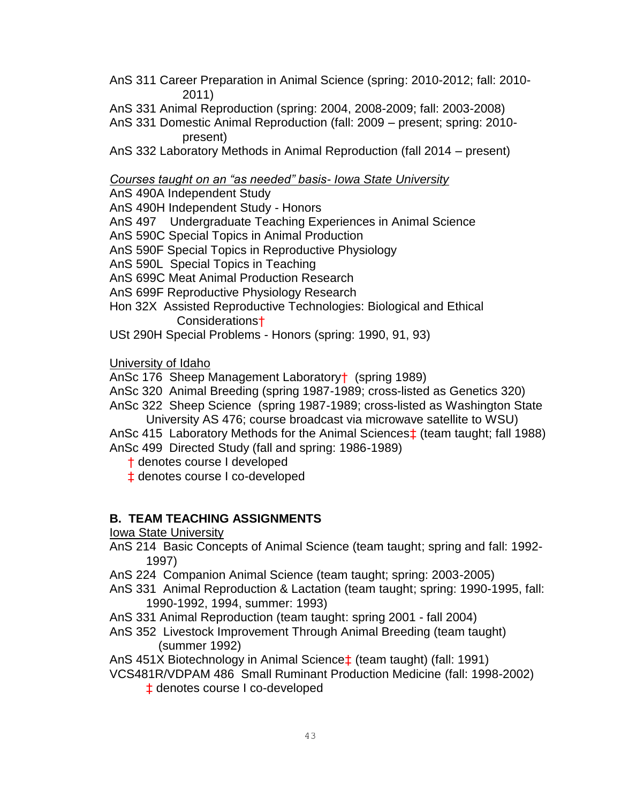- AnS 311 Career Preparation in Animal Science (spring: 2010-2012; fall: 2010- 2011)
- AnS 331 Animal Reproduction (spring: 2004, 2008-2009; fall: 2003-2008)
- AnS 331 Domestic Animal Reproduction (fall: 2009 present; spring: 2010 present)
- AnS 332 Laboratory Methods in Animal Reproduction (fall 2014 present)

*Courses taught on an "as needed" basis- Iowa State University*

AnS 490A Independent Study

- AnS 490H Independent Study Honors
- AnS 497 Undergraduate Teaching Experiences in Animal Science
- AnS 590C Special Topics in Animal Production
- AnS 590F Special Topics in Reproductive Physiology
- AnS 590L Special Topics in Teaching
- AnS 699C Meat Animal Production Research
- AnS 699F Reproductive Physiology Research
- Hon 32X Assisted Reproductive Technologies: Biological and Ethical Considerations†
- USt 290H Special Problems Honors (spring: 1990, 91, 93)

University of Idaho

- AnSc 176 Sheep Management Laboratory† (spring 1989)
- AnSc 320 Animal Breeding (spring 1987-1989; cross-listed as Genetics 320)
- AnSc 322 Sheep Science (spring 1987-1989; cross-listed as Washington State University AS 476; course broadcast via microwave satellite to WSU)
- AnSc 415 Laboratory Methods for the Animal Sciences‡ (team taught; fall 1988) AnSc 499 Directed Study (fall and spring: 1986-1989)
	- † denotes course I developed
	- ‡ denotes course I co-developed

## **B. TEAM TEACHING ASSIGNMENTS**

Iowa State University

- AnS 214 Basic Concepts of Animal Science (team taught; spring and fall: 1992- 1997)
- AnS 224 Companion Animal Science (team taught; spring: 2003-2005)
- AnS 331 Animal Reproduction & Lactation (team taught; spring: 1990-1995, fall: 1990-1992, 1994, summer: 1993)
- AnS 331 Animal Reproduction (team taught: spring 2001 fall 2004)
- AnS 352 Livestock Improvement Through Animal Breeding (team taught) (summer 1992)
- AnS 451X Biotechnology in Animal Science‡ (team taught) (fall: 1991)
- VCS481R/VDPAM 486 Small Ruminant Production Medicine (fall: 1998-2002)
	- ‡ denotes course I co-developed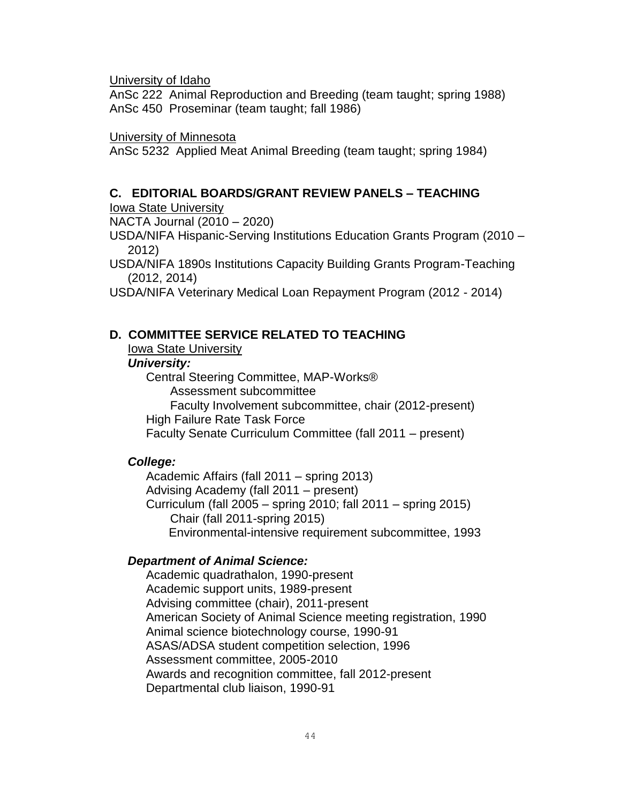University of Idaho

AnSc 222 Animal Reproduction and Breeding (team taught; spring 1988) AnSc 450 Proseminar (team taught; fall 1986)

University of Minnesota

AnSc 5232 Applied Meat Animal Breeding (team taught; spring 1984)

#### **C. EDITORIAL BOARDS/GRANT REVIEW PANELS – TEACHING**

Iowa State University

NACTA Journal (2010 – 2020)

USDA/NIFA Hispanic-Serving Institutions Education Grants Program (2010 – 2012)

USDA/NIFA 1890s Institutions Capacity Building Grants Program-Teaching (2012, 2014)

USDA/NIFA Veterinary Medical Loan Repayment Program (2012 - 2014)

### **D. COMMITTEE SERVICE RELATED TO TEACHING**

#### Iowa State University

### *University:*

Central Steering Committee, MAP-Works® Assessment subcommittee Faculty Involvement subcommittee, chair (2012-present) High Failure Rate Task Force Faculty Senate Curriculum Committee (fall 2011 – present)

#### *College:*

Academic Affairs (fall 2011 – spring 2013) Advising Academy (fall 2011 – present) Curriculum (fall 2005 – spring 2010; fall 2011 – spring 2015) Chair (fall 2011-spring 2015) Environmental-intensive requirement subcommittee, 1993

#### *Department of Animal Science:*

Academic quadrathalon, 1990-present Academic support units, 1989-present Advising committee (chair), 2011-present American Society of Animal Science meeting registration, 1990 Animal science biotechnology course, 1990-91 ASAS/ADSA student competition selection, 1996 Assessment committee, 2005-2010 Awards and recognition committee, fall 2012-present Departmental club liaison, 1990-91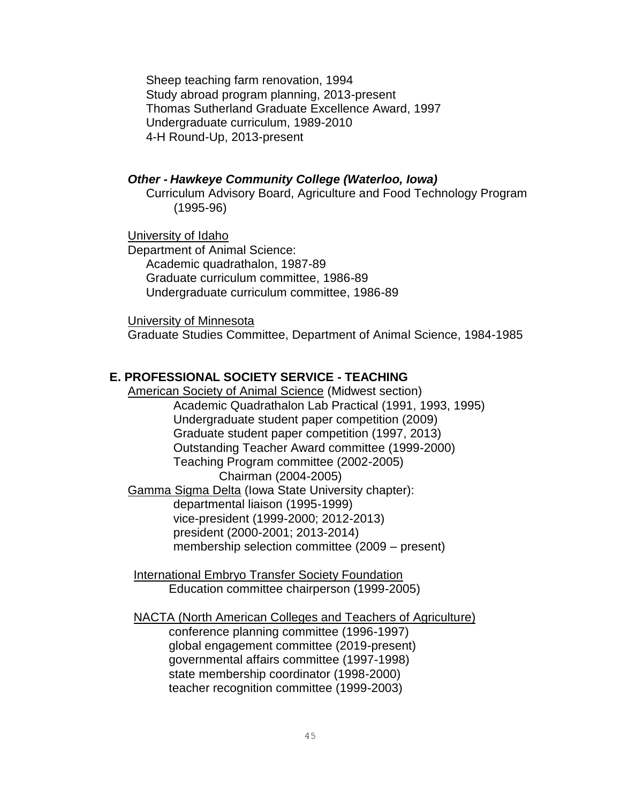Sheep teaching farm renovation, 1994 Study abroad program planning, 2013-present Thomas Sutherland Graduate Excellence Award, 1997 Undergraduate curriculum, 1989-2010 4-H Round-Up, 2013-present

### *Other - Hawkeye Community College (Waterloo, Iowa)*

Curriculum Advisory Board, Agriculture and Food Technology Program (1995-96)

University of Idaho Department of Animal Science: Academic quadrathalon, 1987-89 Graduate curriculum committee, 1986-89 Undergraduate curriculum committee, 1986-89

University of Minnesota Graduate Studies Committee, Department of Animal Science, 1984-1985

### **E. PROFESSIONAL SOCIETY SERVICE - TEACHING**

American Society of Animal Science (Midwest section) Academic Quadrathalon Lab Practical (1991, 1993, 1995) Undergraduate student paper competition (2009) Graduate student paper competition (1997, 2013) Outstanding Teacher Award committee (1999-2000) Teaching Program committee (2002-2005) Chairman (2004-2005) Gamma Sigma Delta (Iowa State University chapter): departmental liaison (1995-1999) vice-president (1999-2000; 2012-2013) president (2000-2001; 2013-2014) membership selection committee (2009 – present)

International Embryo Transfer Society Foundation Education committee chairperson (1999-2005)

NACTA (North American Colleges and Teachers of Agriculture)

conference planning committee (1996-1997) global engagement committee (2019-present) governmental affairs committee (1997-1998) state membership coordinator (1998-2000) teacher recognition committee (1999-2003)